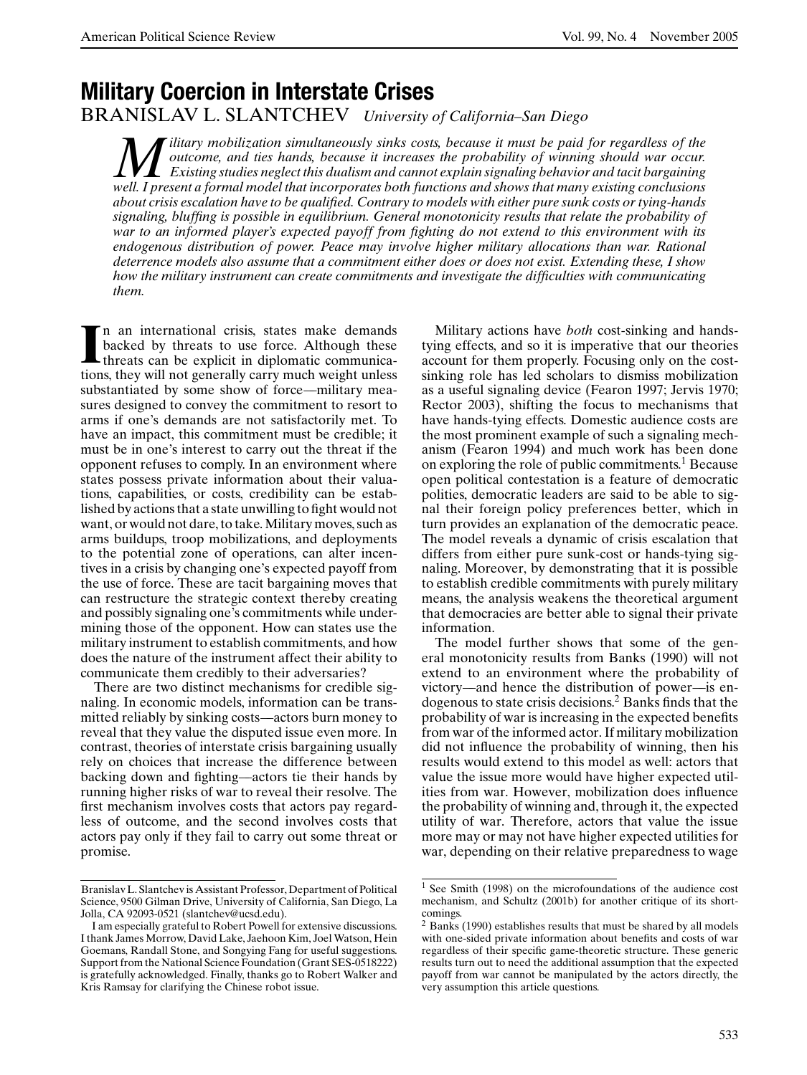# **Military Coercion in Interstate Crises** BRANISLAV L. SLANTCHEV *University of California–San Diego*

*M ilitary mobilization simultaneously sinks costs, because it must be paid for regardless of the*<br>*Existing studies neglect this dualism and cannot explain signaling behavior and tacit bargaining*<br>well. I present a form *outcome, and ties hands, because it increases the probability of winning should war occur. Existing studies neglect this dualism and cannot explain signaling behavior and tacit bargaining well. I present a formal model that incorporates both functions and shows that many existing conclusions about crisis escalation have to be qualified. Contrary to models with either pure sunk costs or tying-hands signaling, bluffing is possible in equilibrium. General monotonicity results that relate the probability of war to an informed player's expected payoff from fighting do not extend to this environment with its endogenous distribution of power. Peace may involve higher military allocations than war. Rational deterrence models also assume that a commitment either does or does not exist. Extending these, I show how the military instrument can create commitments and investigate the difficulties with communicating them.*

In an international crisis, states make demands backed by threats to use force. Although these threats can be explicit in diplomatic communications, they will not generally carry much weight unless n an international crisis, states make demands backed by threats to use force. Although these threats can be explicit in diplomatic communicasubstantiated by some show of force—–military measures designed to convey the commitment to resort to arms if one's demands are not satisfactorily met. To have an impact, this commitment must be credible; it must be in one's interest to carry out the threat if the opponent refuses to comply. In an environment where states possess private information about their valuations, capabilities, or costs, credibility can be established by actions that a state unwilling to fight would not want, or would not dare, to take. Military moves, such as arms buildups, troop mobilizations, and deployments to the potential zone of operations, can alter incentives in a crisis by changing one's expected payoff from the use of force. These are tacit bargaining moves that can restructure the strategic context thereby creating and possibly signaling one's commitments while undermining those of the opponent. How can states use the military instrument to establish commitments, and how does the nature of the instrument affect their ability to communicate them credibly to their adversaries?

There are two distinct mechanisms for credible signaling. In economic models, information can be transmitted reliably by sinking costs—–actors burn money to reveal that they value the disputed issue even more. In contrast, theories of interstate crisis bargaining usually rely on choices that increase the difference between backing down and fighting—–actors tie their hands by running higher risks of war to reveal their resolve. The first mechanism involves costs that actors pay regardless of outcome, and the second involves costs that actors pay only if they fail to carry out some threat or promise.

Military actions have *both* cost-sinking and handstying effects, and so it is imperative that our theories account for them properly. Focusing only on the costsinking role has led scholars to dismiss mobilization as a useful signaling device (Fearon 1997; Jervis 1970; Rector 2003), shifting the focus to mechanisms that have hands-tying effects. Domestic audience costs are the most prominent example of such a signaling mechanism (Fearon 1994) and much work has been done on exploring the role of public commitments.<sup>1</sup> Because open political contestation is a feature of democratic polities, democratic leaders are said to be able to signal their foreign policy preferences better, which in turn provides an explanation of the democratic peace. The model reveals a dynamic of crisis escalation that differs from either pure sunk-cost or hands-tying signaling. Moreover, by demonstrating that it is possible to establish credible commitments with purely military means, the analysis weakens the theoretical argument that democracies are better able to signal their private information.

The model further shows that some of the general monotonicity results from Banks (1990) will not extend to an environment where the probability of victory—–and hence the distribution of power—–is endogenous to state crisis decisions.<sup>2</sup> Banks finds that the probability of war is increasing in the expected benefits from war of the informed actor. If military mobilization did not influence the probability of winning, then his results would extend to this model as well: actors that value the issue more would have higher expected utilities from war. However, mobilization does influence the probability of winning and, through it, the expected utility of war. Therefore, actors that value the issue more may or may not have higher expected utilities for war, depending on their relative preparedness to wage

Branislav L. Slantchev is Assistant Professor, Department of Political Science, 9500 Gilman Drive, University of California, San Diego, La Jolla, CA 92093-0521 (slantchev@ucsd.edu).

I am especially grateful to Robert Powell for extensive discussions. I thank James Morrow, David Lake, Jaehoon Kim, Joel Watson, Hein Goemans, Randall Stone, and Songying Fang for useful suggestions. Support from the National Science Foundation (Grant SES-0518222) is gratefully acknowledged. Finally, thanks go to Robert Walker and Kris Ramsay for clarifying the Chinese robot issue.

<sup>1</sup> See Smith (1998) on the microfoundations of the audience cost mechanism, and Schultz (2001b) for another critique of its shortcomings.

 $2$  Banks (1990) establishes results that must be shared by all models with one-sided private information about benefits and costs of war regardless of their specific game-theoretic structure. These generic results turn out to need the additional assumption that the expected payoff from war cannot be manipulated by the actors directly, the very assumption this article questions.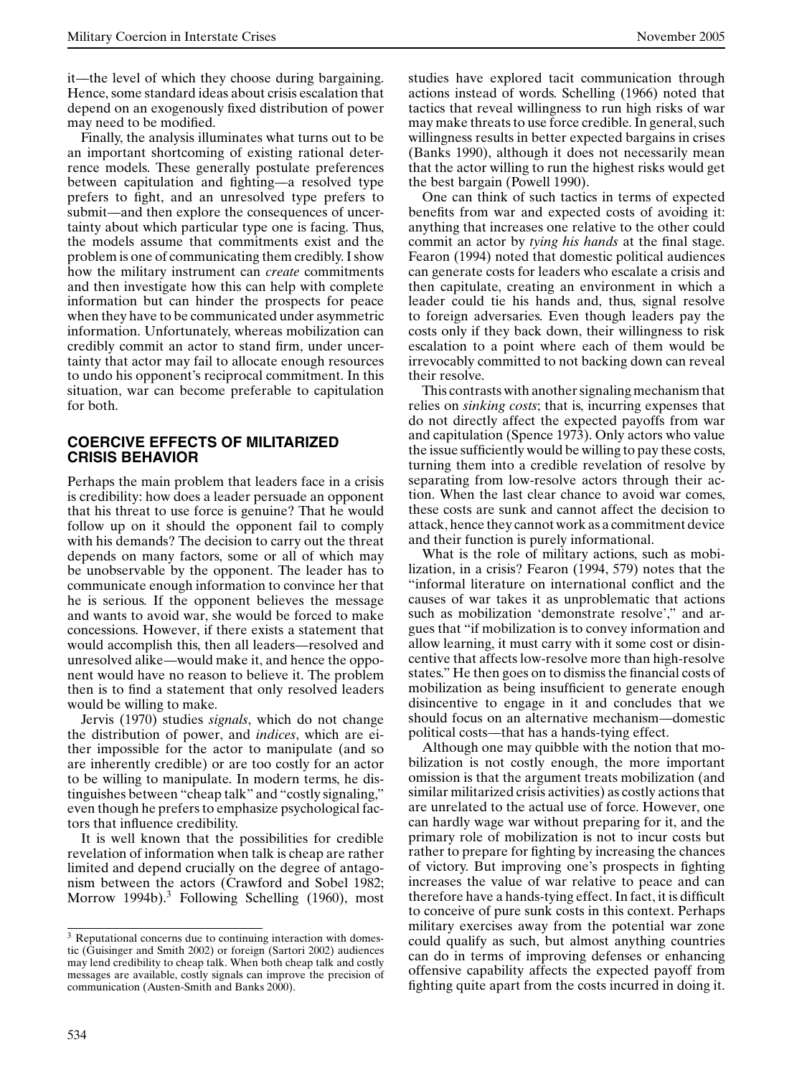it—–the level of which they choose during bargaining. Hence, some standard ideas about crisis escalation that depend on an exogenously fixed distribution of power may need to be modified.

Finally, the analysis illuminates what turns out to be an important shortcoming of existing rational deterrence models. These generally postulate preferences between capitulation and fighting—–a resolved type prefers to fight, and an unresolved type prefers to submit—and then explore the consequences of uncertainty about which particular type one is facing. Thus, the models assume that commitments exist and the problem is one of communicating them credibly. I show how the military instrument can *create* commitments and then investigate how this can help with complete information but can hinder the prospects for peace when they have to be communicated under asymmetric information. Unfortunately, whereas mobilization can credibly commit an actor to stand firm, under uncertainty that actor may fail to allocate enough resources to undo his opponent's reciprocal commitment. In this situation, war can become preferable to capitulation for both.

## **COERCIVE EFFECTS OF MILITARIZED CRISIS BEHAVIOR**

Perhaps the main problem that leaders face in a crisis is credibility: how does a leader persuade an opponent that his threat to use force is genuine? That he would follow up on it should the opponent fail to comply with his demands? The decision to carry out the threat depends on many factors, some or all of which may be unobservable by the opponent. The leader has to communicate enough information to convince her that he is serious. If the opponent believes the message and wants to avoid war, she would be forced to make concessions. However, if there exists a statement that would accomplish this, then all leaders—–resolved and unresolved alike—–would make it, and hence the opponent would have no reason to believe it. The problem then is to find a statement that only resolved leaders would be willing to make.

Jervis (1970) studies *signals*, which do not change the distribution of power, and *indices*, which are either impossible for the actor to manipulate (and so are inherently credible) or are too costly for an actor to be willing to manipulate. In modern terms, he distinguishes between "cheap talk" and "costly signaling," even though he prefers to emphasize psychological factors that influence credibility.

It is well known that the possibilities for credible revelation of information when talk is cheap are rather limited and depend crucially on the degree of antagonism between the actors (Crawford and Sobel 1982; Morrow 1994b).<sup>3</sup> Following Schelling (1960), most studies have explored tacit communication through actions instead of words. Schelling (1966) noted that tactics that reveal willingness to run high risks of war may make threats to use force credible. In general, such willingness results in better expected bargains in crises (Banks 1990), although it does not necessarily mean that the actor willing to run the highest risks would get the best bargain (Powell 1990).

One can think of such tactics in terms of expected benefits from war and expected costs of avoiding it: anything that increases one relative to the other could commit an actor by *tying his hands* at the final stage. Fearon (1994) noted that domestic political audiences can generate costs for leaders who escalate a crisis and then capitulate, creating an environment in which a leader could tie his hands and, thus, signal resolve to foreign adversaries. Even though leaders pay the costs only if they back down, their willingness to risk escalation to a point where each of them would be irrevocably committed to not backing down can reveal their resolve.

This contrasts with another signaling mechanism that relies on *sinking costs*; that is, incurring expenses that do not directly affect the expected payoffs from war and capitulation (Spence 1973). Only actors who value the issue sufficiently would be willing to pay these costs, turning them into a credible revelation of resolve by separating from low-resolve actors through their action. When the last clear chance to avoid war comes, these costs are sunk and cannot affect the decision to attack, hence they cannot work as a commitment device and their function is purely informational.

What is the role of military actions, such as mobilization, in a crisis? Fearon (1994, 579) notes that the "informal literature on international conflict and the causes of war takes it as unproblematic that actions such as mobilization 'demonstrate resolve'," and argues that "if mobilization is to convey information and allow learning, it must carry with it some cost or disincentive that affects low-resolve more than high-resolve states." He then goes on to dismiss the financial costs of mobilization as being insufficient to generate enough disincentive to engage in it and concludes that we should focus on an alternative mechanism—–domestic political costs—–that has a hands-tying effect.

Although one may quibble with the notion that mobilization is not costly enough, the more important omission is that the argument treats mobilization (and similar militarized crisis activities) as costly actions that are unrelated to the actual use of force. However, one can hardly wage war without preparing for it, and the primary role of mobilization is not to incur costs but rather to prepare for fighting by increasing the chances of victory. But improving one's prospects in fighting increases the value of war relative to peace and can therefore have a hands-tying effect. In fact, it is difficult to conceive of pure sunk costs in this context. Perhaps military exercises away from the potential war zone could qualify as such, but almost anything countries can do in terms of improving defenses or enhancing offensive capability affects the expected payoff from fighting quite apart from the costs incurred in doing it.

<sup>&</sup>lt;sup>3</sup> Reputational concerns due to continuing interaction with domestic (Guisinger and Smith 2002) or foreign (Sartori 2002) audiences may lend credibility to cheap talk. When both cheap talk and costly messages are available, costly signals can improve the precision of communication (Austen-Smith and Banks 2000).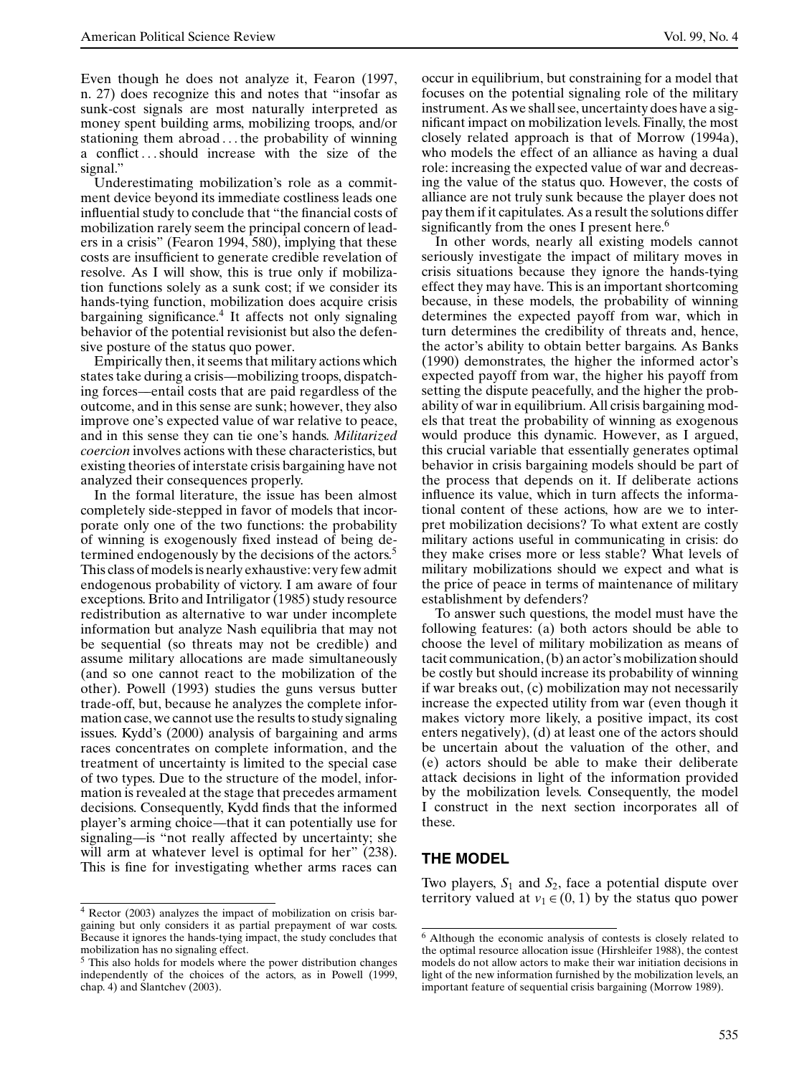Even though he does not analyze it, Fearon (1997, n. 27) does recognize this and notes that "insofar as sunk-cost signals are most naturally interpreted as money spent building arms, mobilizing troops, and/or stationing them abroad *...* the probability of winning a conflict*...*should increase with the size of the signal."

Underestimating mobilization's role as a commitment device beyond its immediate costliness leads one influential study to conclude that "the financial costs of mobilization rarely seem the principal concern of leaders in a crisis" (Fearon 1994, 580), implying that these costs are insufficient to generate credible revelation of resolve. As I will show, this is true only if mobilization functions solely as a sunk cost; if we consider its hands-tying function, mobilization does acquire crisis bargaining significance.<sup>4</sup> It affects not only signaling behavior of the potential revisionist but also the defensive posture of the status quo power.

Empirically then, it seems that military actions which states take during a crisis—–mobilizing troops, dispatching forces—–entail costs that are paid regardless of the outcome, and in this sense are sunk; however, they also improve one's expected value of war relative to peace, and in this sense they can tie one's hands. *Militarized coercion* involves actions with these characteristics, but existing theories of interstate crisis bargaining have not analyzed their consequences properly.

In the formal literature, the issue has been almost completely side-stepped in favor of models that incorporate only one of the two functions: the probability of winning is exogenously fixed instead of being determined endogenously by the decisions of the actors.<sup>5</sup> This class of models is nearly exhaustive: very few admit endogenous probability of victory. I am aware of four exceptions. Brito and Intriligator (1985) study resource redistribution as alternative to war under incomplete information but analyze Nash equilibria that may not be sequential (so threats may not be credible) and assume military allocations are made simultaneously (and so one cannot react to the mobilization of the other). Powell (1993) studies the guns versus butter trade-off, but, because he analyzes the complete information case, we cannot use the results to study signaling issues. Kydd's (2000) analysis of bargaining and arms races concentrates on complete information, and the treatment of uncertainty is limited to the special case of two types. Due to the structure of the model, information is revealed at the stage that precedes armament decisions. Consequently, Kydd finds that the informed player's arming choice—–that it can potentially use for signaling—–is "not really affected by uncertainty; she will arm at whatever level is optimal for her" (238). This is fine for investigating whether arms races can

occur in equilibrium, but constraining for a model that focuses on the potential signaling role of the military instrument. As we shall see, uncertainty does have a significant impact on mobilization levels. Finally, the most closely related approach is that of Morrow (1994a), who models the effect of an alliance as having a dual role: increasing the expected value of war and decreasing the value of the status quo. However, the costs of alliance are not truly sunk because the player does not pay them if it capitulates. As a result the solutions differ significantly from the ones I present here.<sup>6</sup>

In other words, nearly all existing models cannot seriously investigate the impact of military moves in crisis situations because they ignore the hands-tying effect they may have. This is an important shortcoming because, in these models, the probability of winning determines the expected payoff from war, which in turn determines the credibility of threats and, hence, the actor's ability to obtain better bargains. As Banks (1990) demonstrates, the higher the informed actor's expected payoff from war, the higher his payoff from setting the dispute peacefully, and the higher the probability of war in equilibrium. All crisis bargaining models that treat the probability of winning as exogenous would produce this dynamic. However, as I argued, this crucial variable that essentially generates optimal behavior in crisis bargaining models should be part of the process that depends on it. If deliberate actions influence its value, which in turn affects the informational content of these actions, how are we to interpret mobilization decisions? To what extent are costly military actions useful in communicating in crisis: do they make crises more or less stable? What levels of military mobilizations should we expect and what is the price of peace in terms of maintenance of military establishment by defenders?

To answer such questions, the model must have the following features: (a) both actors should be able to choose the level of military mobilization as means of tacit communication, (b) an actor's mobilization should be costly but should increase its probability of winning if war breaks out, (c) mobilization may not necessarily increase the expected utility from war (even though it makes victory more likely, a positive impact, its cost enters negatively), (d) at least one of the actors should be uncertain about the valuation of the other, and (e) actors should be able to make their deliberate attack decisions in light of the information provided by the mobilization levels. Consequently, the model I construct in the next section incorporates all of these.

## **THE MODEL**

Two players,  $S_1$  and  $S_2$ , face a potential dispute over territory valued at  $v_1 \in (0, 1)$  by the status quo power

<sup>4</sup> Rector (2003) analyzes the impact of mobilization on crisis bargaining but only considers it as partial prepayment of war costs. Because it ignores the hands-tying impact, the study concludes that mobilization has no signaling effect.

<sup>5</sup> This also holds for models where the power distribution changes independently of the choices of the actors, as in Powell (1999, chap. 4) and Slantchev (2003).

<sup>6</sup> Although the economic analysis of contests is closely related to the optimal resource allocation issue (Hirshleifer 1988), the contest models do not allow actors to make their war initiation decisions in light of the new information furnished by the mobilization levels, an important feature of sequential crisis bargaining (Morrow 1989).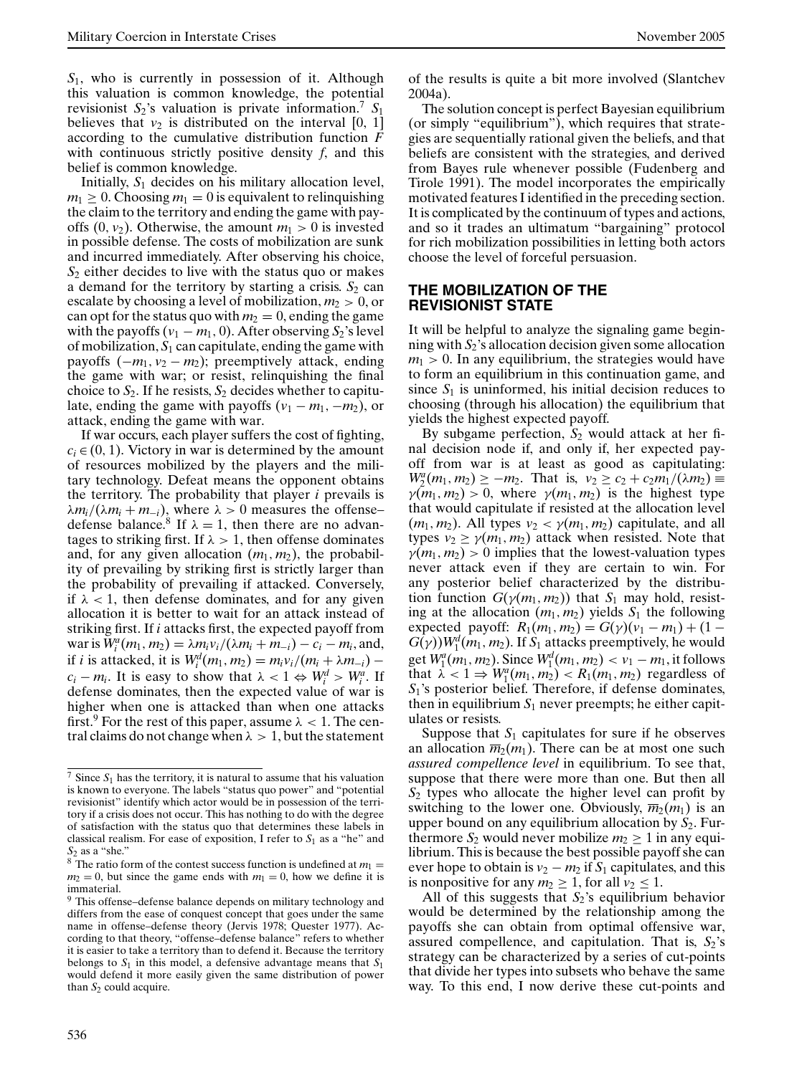*S*1, who is currently in possession of it. Although this valuation is common knowledge, the potential revisionist  $S_2$ 's valuation is private information.<sup>7</sup>  $S_1$ believes that  $v_2$  is distributed on the interval [0, 1] according to the cumulative distribution function *F* with continuous strictly positive density *f*, and this belief is common knowledge.

Initially, S<sub>1</sub> decides on his military allocation level,  $m_1 \geq 0$ . Choosing  $m_1 = 0$  is equivalent to relinquishing the claim to the territory and ending the game with payoffs  $(0, v_2)$ . Otherwise, the amount  $m_1 > 0$  is invested in possible defense. The costs of mobilization are sunk and incurred immediately. After observing his choice, *S*<sup>2</sup> either decides to live with the status quo or makes a demand for the territory by starting a crisis.  $S_2$  can escalate by choosing a level of mobilization,  $m_2 > 0$ , or can opt for the status quo with  $m_2 = 0$ , ending the game with the payoffs  $(v_1 - m_1, 0)$ . After observing  $S_2$ 's level of mobilization,  $S_1$  can capitulate, ending the game with payoffs  $(-m_1, v_2 - m_2)$ ; preemptively attack, ending the game with war; or resist, relinquishing the final choice to  $S_2$ . If he resists,  $S_2$  decides whether to capitulate, ending the game with payoffs  $(v_1 - m_1, -m_2)$ , or attack, ending the game with war.

If war occurs, each player suffers the cost of fighting,  $c_i \in (0, 1)$ . Victory in war is determined by the amount of resources mobilized by the players and the military technology. Defeat means the opponent obtains the territory. The probability that player *i* prevails is  $λm_i/(λm_i + m_{-i})$ , where  $λ > 0$  measures the offense– defense balance.<sup>8</sup> If  $\lambda = 1$ , then there are no advantages to striking first. If  $\lambda > 1$ , then offense dominates and, for any given allocation  $(m_1, m_2)$ , the probability of prevailing by striking first is strictly larger than the probability of prevailing if attacked. Conversely, if  $\lambda$  < 1, then defense dominates, and for any given allocation it is better to wait for an attack instead of striking first. If *i* attacks first, the expected payoff from  ${\rm w}$ ar is  $\tilde{W}^a_i(m_1, m_2) = \lambda m_i v_i / (\lambda m_i + m_{-i}) - c_i - m_i$ , and, if *i* is attacked, it is  $W_i^d(m_1, m_2) = m_i v_i/(m_i + \lambda m_{-i})$  –  $c_i - m_i$ . It is easy to show that  $\lambda < 1 \Leftrightarrow W_i^d > W_i^a$ . If defense dominates, then the expected value of war is higher when one is attacked than when one attacks first.<sup>9</sup> For the rest of this paper, assume  $\lambda < 1$ . The central claims do not change when  $\lambda > 1$ , but the statement of the results is quite a bit more involved (Slantchev 2004a).

The solution concept is perfect Bayesian equilibrium (or simply "equilibrium"), which requires that strategies are sequentially rational given the beliefs, and that beliefs are consistent with the strategies, and derived from Bayes rule whenever possible (Fudenberg and Tirole 1991). The model incorporates the empirically motivated features I identified in the preceding section. It is complicated by the continuum of types and actions, and so it trades an ultimatum "bargaining" protocol for rich mobilization possibilities in letting both actors choose the level of forceful persuasion.

#### **THE MOBILIZATION OF THE REVISIONIST STATE**

It will be helpful to analyze the signaling game beginning with  $S_2$ 's allocation decision given some allocation  $m_1 > 0$ . In any equilibrium, the strategies would have to form an equilibrium in this continuation game, and since  $S_1$  is uninformed, his initial decision reduces to choosing (through his allocation) the equilibrium that yields the highest expected payoff.

By subgame perfection, *S*<sup>2</sup> would attack at her final decision node if, and only if, her expected payoff from war is at least as good as capitulating:  $W_2^a(m_1, m_2) \geq -m_2$ . That is,  $v_2 \geq c_2 + c_2 m_1/(\lambda m_2) \equiv$  $\gamma(m_1, m_2) > 0$ , where  $\gamma(m_1, m_2)$  is the highest type that would capitulate if resisted at the allocation level  $(m_1, m_2)$ . All types  $v_2 < \gamma(m_1, m_2)$  capitulate, and all types  $v_2 \ge \gamma(m_1, m_2)$  attack when resisted. Note that  $\gamma(m_1, m_2) > 0$  implies that the lowest-valuation types never attack even if they are certain to win. For any posterior belief characterized by the distribution function  $G(\gamma(m_1, m_2))$  that  $S_1$  may hold, resisting at the allocation  $(m_1, m_2)$  yields  $S_1$  the following expected payoff:  $R_1(m_1, m_2) = G(\gamma)(v_1 - m_1) + (1 G(\gamma)$ ) $W_1^d(m_1, m_2)$ . If  $S_1$  attacks preemptively, he would get  $W_1^a(m_1, m_2)$ . Since  $W_1^d(m_1, m_2) < v_1 - m_1$ , it follows that  $\lambda < 1 \Rightarrow W_1^a(m_1, m_2) < R_1(m_1, m_2)$  regardless of *S*1's posterior belief. Therefore, if defense dominates, then in equilibrium  $S_1$  never preempts; he either capitulates or resists.

Suppose that  $S_1$  capitulates for sure if he observes an allocation  $\overline{m}_2(m_1)$ . There can be at most one such *assured compellence level* in equilibrium. To see that, suppose that there were more than one. But then all *S*<sup>2</sup> types who allocate the higher level can profit by switching to the lower one. Obviously,  $\overline{m}_2(m_1)$  is an upper bound on any equilibrium allocation by  $S_2$ . Furthermore  $S_2$  would never mobilize  $m_2 \geq 1$  in any equilibrium. This is because the best possible payoff she can ever hope to obtain is  $v_2 - m_2$  if  $S_1$  capitulates, and this is nonpositive for any  $m_2 \geq 1$ , for all  $v_2 \leq 1$ .

All of this suggests that  $S_2$ 's equilibrium behavior would be determined by the relationship among the payoffs she can obtain from optimal offensive war, assured compellence, and capitulation. That is,  $S_2$ 's strategy can be characterized by a series of cut-points that divide her types into subsets who behave the same way. To this end, I now derive these cut-points and

 $7$  Since  $S_1$  has the territory, it is natural to assume that his valuation is known to everyone. The labels "status quo power" and "potential revisionist" identify which actor would be in possession of the territory if a crisis does not occur. This has nothing to do with the degree of satisfaction with the status quo that determines these labels in classical realism. For ease of exposition, I refer to  $S_1$  as a "he" and

*S*<sub>2</sub> as a "she." 8 The ratio form of the contest success function is undefined at  $m_1 =$  $m_2 = 0$ , but since the game ends with  $m_1 = 0$ , how we define it is immaterial.

<sup>9</sup> This offense–defense balance depends on military technology and differs from the ease of conquest concept that goes under the same name in offense–defense theory (Jervis 1978; Quester 1977). According to that theory, "offense–defense balance" refers to whether it is easier to take a territory than to defend it. Because the territory belongs to  $S_1$  in this model, a defensive advantage means that  $S_1$ would defend it more easily given the same distribution of power than  $S_2$  could acquire.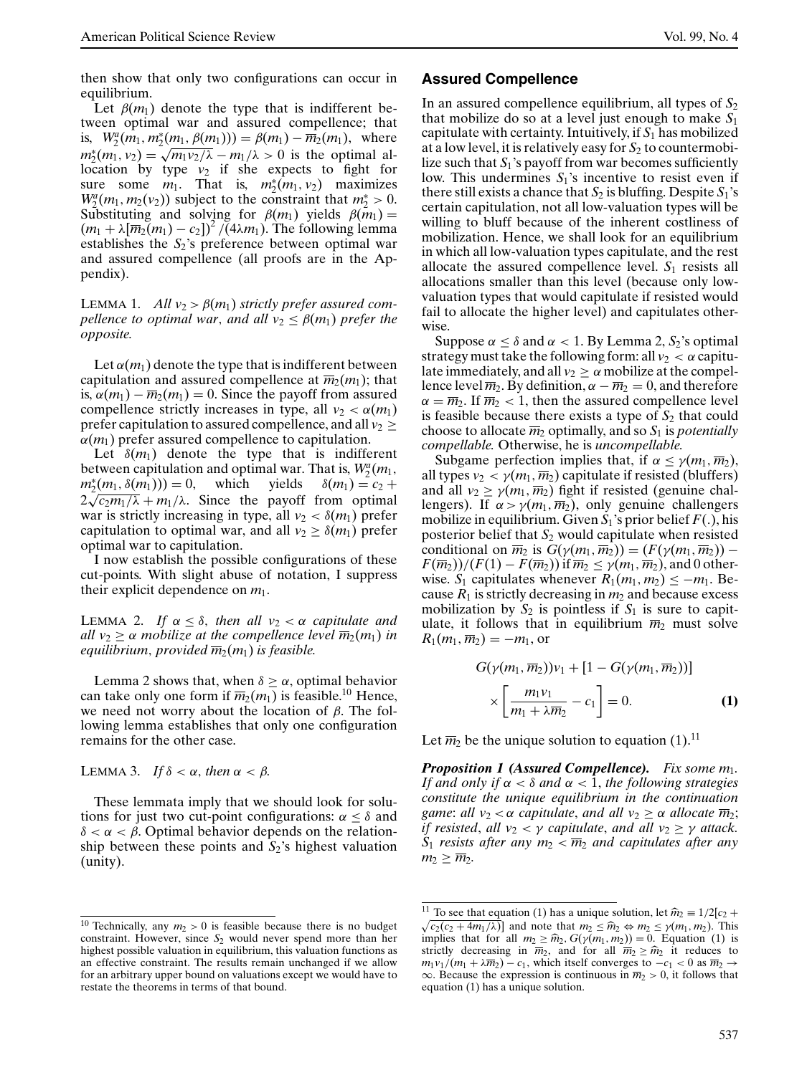then show that only two configurations can occur in equilibrium.

Let  $\beta(m_1)$  denote the type that is indifferent between optimal war and assured compellence; that is,  $W_2^n(m_1, m_2^*(m_1, \beta(m_1))) = \beta(m_1) - \overline{m}_2(m_1)$ , where  $m_2^*(m_1, v_2) = \sqrt{m_1 v_2/\lambda} - m_1/\lambda > 0$  is the optimal allocation by type  $v_2$  if she expects to fight for sure some  $m_1$ . That is,  $m_2^*(m_1, v_2)$  maximizes  $W_2^n(m_1, m_2(v_2))$  subject to the constraint that  $m_2^* > 0$ . Substituting and solving for  $\beta(m_1)$  yields  $\beta(m_1)$  =  $(m_1 + \lambda[\overline{m_2}(m_1) - c_2])^2 / (4\lambda m_1)$ . The following lemma establishes the *S*2's preference between optimal war and assured compellence (all proofs are in the Appendix).

LEMMA 1. *All*  $v_2 > \beta(m_1)$  *strictly prefer assured compellence to optimal war, and all*  $v_2 \leq \beta(m_1)$  *prefer the opposite.*

Let  $\alpha(m_1)$  denote the type that is indifferent between capitulation and assured compellence at  $\overline{m}_2(m_1)$ ; that is,  $\alpha(m_1) - \overline{m}_2(m_1) = 0$ . Since the payoff from assured compellence strictly increases in type, all  $v_2 < \alpha(m_1)$ prefer capitulation to assured compellence, and all  $v_2 \ge$  $\alpha(m_1)$  prefer assured compellence to capitulation.

Let  $\delta(m_1)$  denote the type that is indifferent between capitulation and optimal war. That is,  $W_2^n(m_1,$  $m_2^*(m_1, \delta(m_1))) = 0$ , which yields  $\delta(m_1) = c_2 +$  $2\sqrt{\frac{c_2m_1}{\lambda}+m_1/\lambda}$ . Since the payoff from optimal war is strictly increasing in type, all  $v_2 < \delta(m_1)$  prefer capitulation to optimal war, and all  $v_2 \geq \delta(m_1)$  prefer optimal war to capitulation.

I now establish the possible configurations of these cut-points. With slight abuse of notation, I suppress their explicit dependence on *m*1.

LEMMA 2. *If*  $\alpha \leq \delta$ , then all  $v_2 < \alpha$  capitulate and *all*  $v_2 \ge \alpha$  *mobilize at the compellence level*  $\overline{m}_2(m_1)$  *in equilibrium, provided*  $\overline{m}_2(m_1)$  *is feasible.* 

Lemma 2 shows that, when  $\delta$  >  $\alpha$ , optimal behavior can take only one form if  $\overline{m}_2(m_1)$  is feasible.<sup>10</sup> Hence, we need not worry about the location of *β*. The following lemma establishes that only one configuration remains for the other case.

LEMMA 3. *If*  $\delta < \alpha$ , *then*  $\alpha < \beta$ .

These lemmata imply that we should look for solutions for just two cut-point configurations:  $\alpha < \delta$  and  $\delta < \alpha < \beta$ . Optimal behavior depends on the relationship between these points and  $S_2$ 's highest valuation (unity).

#### **Assured Compellence**

In an assured compellence equilibrium, all types of  $S_2$ that mobilize do so at a level just enough to make  $S_1$ capitulate with certainty. Intuitively, if *S*<sup>1</sup> has mobilized at a low level, it is relatively easy for  $S_2$  to countermobilize such that  $S_1$ 's payoff from war becomes sufficiently low. This undermines *S*1's incentive to resist even if there still exists a chance that  $S_2$  is bluffing. Despite  $S_1$ 's certain capitulation, not all low-valuation types will be willing to bluff because of the inherent costliness of mobilization. Hence, we shall look for an equilibrium in which all low-valuation types capitulate, and the rest allocate the assured compellence level.  $S_1$  resists all allocations smaller than this level (because only lowvaluation types that would capitulate if resisted would fail to allocate the higher level) and capitulates otherwise.

Suppose  $\alpha \leq \delta$  and  $\alpha < 1$ . By Lemma 2,  $S_2$ 's optimal strategy must take the following form: all  $v_2 < \alpha$  capitulate immediately, and all  $v_2 \ge \alpha$  mobilize at the compellence level  $\overline{m}_2$ . By definition,  $\alpha - \overline{m}_2 = 0$ , and therefore  $\alpha = \overline{m}_2$ . If  $\overline{m}_2 < 1$ , then the assured compellence level is feasible because there exists a type of  $S_2$  that could choose to allocate  $\overline{m}_2$  optimally, and so  $S_1$  is *potentially compellable.* Otherwise, he is *uncompellable.*

Subgame perfection implies that, if  $\alpha \leq \gamma(m_1, \overline{m}_2)$ , all types  $v_2 < \gamma(m_1, \overline{m}_2)$  capitulate if resisted (bluffers) and all  $v_2 \ge \gamma(m_1, \overline{m}_2)$  fight if resisted (genuine challengers). If  $\alpha > \gamma(m_1, \overline{m}_2)$ , only genuine challengers mobilize in equilibrium. Given  $S_1$ 's prior belief  $F(.)$ , his posterior belief that *S*<sup>2</sup> would capitulate when resisted conditional on  $\overline{m_2}$  is  $G(\gamma(m_1, \overline{m_2})) = (F(\gamma(m_1, \overline{m_2}))$  –  $F(\overline{m}_2)/(F(1) - F(\overline{m}_2))$  if  $\overline{m}_2 \le \gamma(m_1, \overline{m}_2)$ , and 0 otherwise. *S*<sub>1</sub> capitulates whenever  $R_1(m_1, m_2) \leq -m_1$ . Because  $R_1$  is strictly decreasing in  $m_2$  and because excess mobilization by  $S_2$  is pointless if  $S_1$  is sure to capitulate, it follows that in equilibrium  $\overline{m}_2$  must solve  $R_1(m_1, \overline{m}_2) = -m_1$ , or

$$
G(\gamma(m_1, \overline{m}_2))v_1 + [1 - G(\gamma(m_1, \overline{m}_2))]
$$

$$
\times \left[\frac{m_1v_1}{m_1 + \lambda \overline{m}_2} - c_1\right] = 0.
$$
 (1)

Let  $\overline{m}_2$  be the unique solution to equation (1).<sup>11</sup>

*Proposition 1 (Assured Compellence). Fix some m*<sub>1</sub>. *If and only if α<δ and α <* 1, *the following strategies constitute the unique equilibrium in the continuation game: all*  $v_2 < \alpha$  *capitulate, and all*  $v_2 \geq \alpha$  *allocate*  $\overline{m}_2$ ; *if resisted, all*  $v_2 < \gamma$  *capitulate, and all*  $v_2 \geq \gamma$  *attack. S*<sub>1</sub> *resists after any*  $m_2 < \overline{m}_2$  *and capitulates after any*  $m_2 \geq \overline{m}_2$ .

<sup>&</sup>lt;sup>10</sup> Technically, any  $m_2 > 0$  is feasible because there is no budget constraint. However, since  $S_2$  would never spend more than her highest possible valuation in equilibrium, this valuation functions as an effective constraint. The results remain unchanged if we allow for an arbitrary upper bound on valuations except we would have to restate the theorems in terms of that bound.

<sup>&</sup>lt;sup>11</sup> To see that equation (1) has a unique solution, let  $\hat{m}_2 \equiv 1/2[c_2 +$  $\sqrt{c_2(c_2 + 4m_1/\lambda)}$  and note that  $m_2 \leq \hat{m}_2 \Leftrightarrow m_2 \leq \gamma(m_1, m_2)$ . This implies that for all  $m_2 \ge \hat{m}_2$ ,  $G(\gamma(m_1, m_2)) = 0$ . Equation (1) is strictly decreasing in  $\overline{m}_2$ , and for all  $\overline{m}_2 \ge \widehat{m}_2$  it reduces to  $m_1v_1/(m_1 + \lambda \overline{m}_2) - c_1$ , which itself converges to  $-c_1 < 0$  as  $\overline{m}_2 \rightarrow$  $\infty$ . Because the expression is continuous in  $\overline{m}_2 > 0$ , it follows that equation (1) has a unique solution.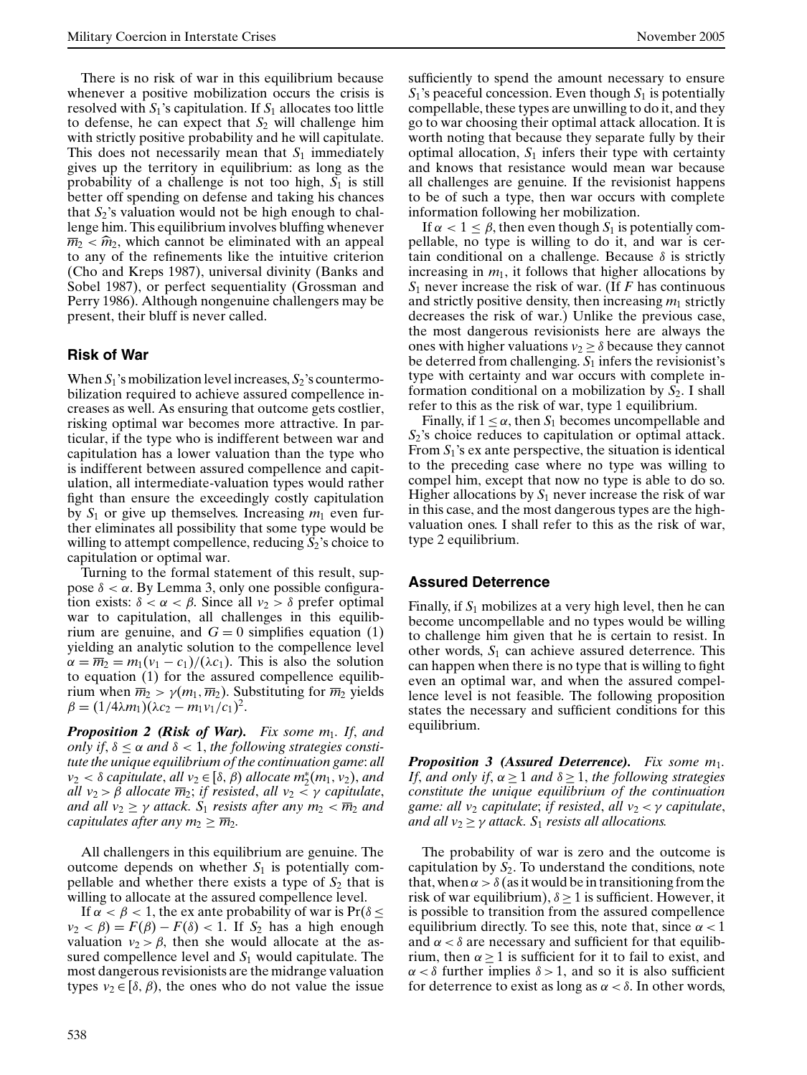There is no risk of war in this equilibrium because whenever a positive mobilization occurs the crisis is resolved with  $S_1$ 's capitulation. If  $S_1$  allocates too little to defense, he can expect that  $S_2$  will challenge him with strictly positive probability and he will capitulate. This does not necessarily mean that  $S_1$  immediately gives up the territory in equilibrium: as long as the probability of a challenge is not too high,  $S_1$  is still better off spending on defense and taking his chances that  $S_2$ 's valuation would not be high enough to challenge him. This equilibrium involves bluffing whenever  $\overline{m}_2$  <  $\widehat{m}_2$ , which cannot be eliminated with an appeal to any of the refinements like the intuitive criterion (Cho and Kreps 1987), universal divinity (Banks and Sobel 1987), or perfect sequentiality (Grossman and Perry 1986). Although nongenuine challengers may be present, their bluff is never called.

## **Risk of War**

When  $S_1$ 's mobilization level increases,  $S_2$ 's countermobilization required to achieve assured compellence increases as well. As ensuring that outcome gets costlier, risking optimal war becomes more attractive. In particular, if the type who is indifferent between war and capitulation has a lower valuation than the type who is indifferent between assured compellence and capitulation, all intermediate-valuation types would rather fight than ensure the exceedingly costly capitulation by  $S_1$  or give up themselves. Increasing  $m_1$  even further eliminates all possibility that some type would be willing to attempt compellence, reducing  $S_2$ 's choice to capitulation or optimal war.

Turning to the formal statement of this result, suppose  $δ < α$ . By Lemma 3, only one possible configuration exists:  $\delta < \alpha < \beta$ . Since all  $v_2 > \delta$  prefer optimal war to capitulation, all challenges in this equilibrium are genuine, and  $G = 0$  simplifies equation (1) yielding an analytic solution to the compellence level  $\alpha = \overline{m}_2 = m_1(v_1 - c_1)/(\lambda c_1)$ . This is also the solution to equation (1) for the assured compellence equilibrium when  $\overline{m}_2 > \gamma(m_1, \overline{m}_2)$ . Substituting for  $\overline{m}_2$  yields *β* =  $(1/4\lambda m_1)(\lambda c_2 - m_1 v_1/c_1)^2$ .

*Proposition 2 (Risk of War). Fix some m*1*. If*, *and only if,*  $\delta \leq \alpha$  *and*  $\delta < 1$ *, the following strategies constitute the unique equilibrium of the continuation game*: *all*  $v_2 < \delta$  *capitulate, all*  $v_2 \in [\delta, \beta)$  *allocate*  $m_2^*(m_1, v_2)$ *, and all*  $v_2 > \beta$  *allocate*  $\overline{m}_2$ ; *if resisted*, *all*  $v_2 < \gamma$  *capitulate*, *and all*  $v_2 \geq \gamma$  *attack.*  $S_1$  *resists after any*  $m_2 < \overline{m}_2$  *and capitulates after any*  $m_2 \geq \overline{m_2}$ .

All challengers in this equilibrium are genuine. The outcome depends on whether  $S_1$  is potentially compellable and whether there exists a type of  $S_2$  that is willing to allocate at the assured compellence level.

If  $\alpha < \beta < 1$ , the ex ante probability of war is Pr( $\delta \le$  $v_2 < \beta$ ) =  $F(\beta) - F(\delta) < 1$ . If  $S_2$  has a high enough valuation  $v_2 > \beta$ , then she would allocate at the assured compellence level and  $S_1$  would capitulate. The most dangerous revisionists are the midrange valuation types  $v_2 \in [\delta, \beta)$ , the ones who do not value the issue sufficiently to spend the amount necessary to ensure  $S_1$ 's peaceful concession. Even though  $S_1$  is potentially compellable, these types are unwilling to do it, and they go to war choosing their optimal attack allocation. It is worth noting that because they separate fully by their optimal allocation,  $S_1$  infers their type with certainty and knows that resistance would mean war because all challenges are genuine. If the revisionist happens to be of such a type, then war occurs with complete information following her mobilization.

If  $\alpha < 1 \leq \beta$ , then even though  $S_1$  is potentially compellable, no type is willing to do it, and war is certain conditional on a challenge. Because *δ* is strictly increasing in  $m_1$ , it follows that higher allocations by *S*<sup>1</sup> never increase the risk of war. (If *F* has continuous and strictly positive density, then increasing  $m_1$  strictly decreases the risk of war.) Unlike the previous case, the most dangerous revisionists here are always the ones with higher valuations  $v_2 \geq \delta$  because they cannot be deterred from challenging.  $S_1$  infers the revisionist's type with certainty and war occurs with complete information conditional on a mobilization by  $S_2$ . I shall refer to this as the risk of war, type 1 equilibrium.

Finally, if  $1 \leq \alpha$ , then  $S_1$  becomes uncompellable and *S*2's choice reduces to capitulation or optimal attack. From *S*1's ex ante perspective, the situation is identical to the preceding case where no type was willing to compel him, except that now no type is able to do so. Higher allocations by  $S_1$  never increase the risk of war in this case, and the most dangerous types are the highvaluation ones. I shall refer to this as the risk of war, type 2 equilibrium.

### **Assured Deterrence**

Finally, if *S*<sup>1</sup> mobilizes at a very high level, then he can become uncompellable and no types would be willing to challenge him given that he is certain to resist. In other words, *S*<sup>1</sup> can achieve assured deterrence. This can happen when there is no type that is willing to fight even an optimal war, and when the assured compellence level is not feasible. The following proposition states the necessary and sufficient conditions for this equilibrium.

*Proposition 3 (Assured Deterrence). Fix some m*<sub>1</sub>. *If, and only if,*  $\alpha \geq 1$  *and*  $\delta \geq 1$ *, the following strategies constitute the unique equilibrium of the continuation game: all v*<sub>2</sub> *capitulate; if resisted, all v*<sub>2</sub>  $\lt$  *y capitulate, and all*  $v_2 \ge \gamma$  *attack.*  $S_1$  *resists all allocations.* 

The probability of war is zero and the outcome is capitulation by  $S_2$ . To understand the conditions, note that, when  $\alpha > \delta$  (as it would be in transitioning from the risk of war equilibrium),  $\delta \geq 1$  is sufficient. However, it is possible to transition from the assured compellence equilibrium directly. To see this, note that, since *α <* 1 and  $\alpha < \delta$  are necessary and sufficient for that equilibrium, then  $\alpha \geq 1$  is sufficient for it to fail to exist, and  $\alpha < \delta$  further implies  $\delta > 1$ , and so it is also sufficient for deterrence to exist as long as  $\alpha < \delta$ . In other words,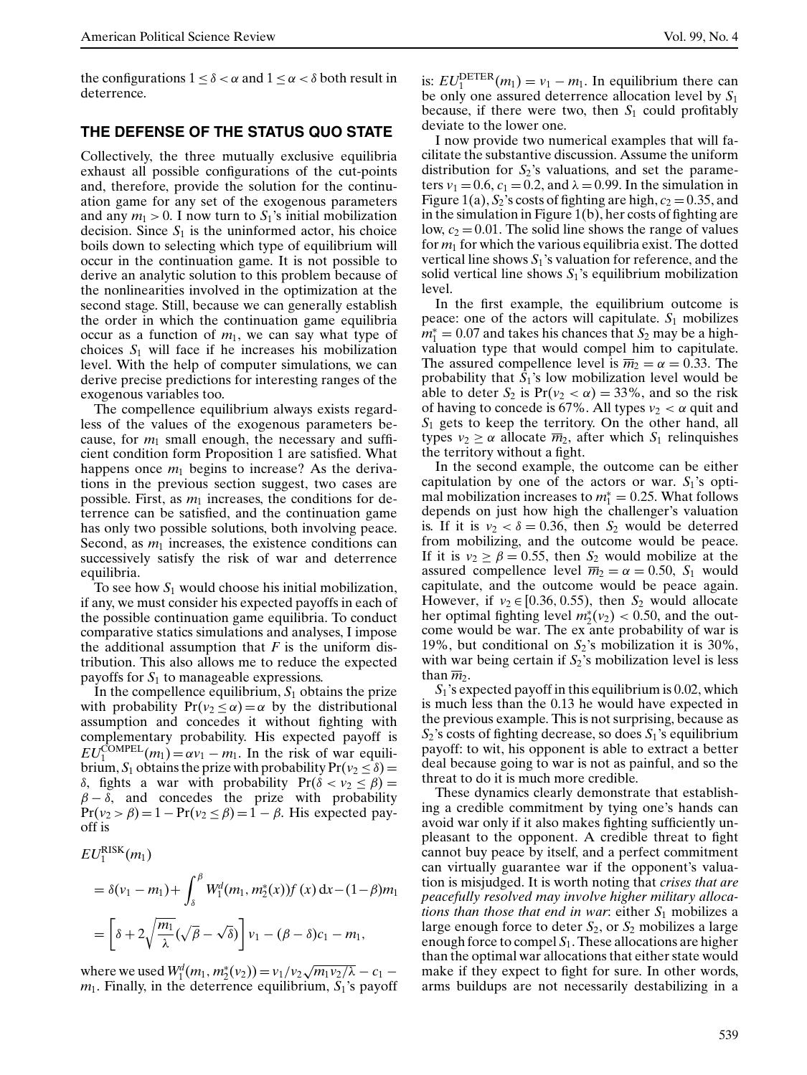the configurations  $1 < \delta < \alpha$  and  $1 < \alpha < \delta$  both result in deterrence.

### **THE DEFENSE OF THE STATUS QUO STATE**

Collectively, the three mutually exclusive equilibria exhaust all possible configurations of the cut-points and, therefore, provide the solution for the continuation game for any set of the exogenous parameters and any  $m_1 > 0$ . I now turn to  $S_1$ 's initial mobilization decision. Since  $S_1$  is the uninformed actor, his choice boils down to selecting which type of equilibrium will occur in the continuation game. It is not possible to derive an analytic solution to this problem because of the nonlinearities involved in the optimization at the second stage. Still, because we can generally establish the order in which the continuation game equilibria occur as a function of *m*1, we can say what type of choices  $S_1$  will face if he increases his mobilization level. With the help of computer simulations, we can derive precise predictions for interesting ranges of the exogenous variables too.

The compellence equilibrium always exists regardless of the values of the exogenous parameters because, for  $m_1$  small enough, the necessary and sufficient condition form Proposition 1 are satisfied. What happens once  $m_1$  begins to increase? As the derivations in the previous section suggest, two cases are possible. First, as  $m_1$  increases, the conditions for deterrence can be satisfied, and the continuation game has only two possible solutions, both involving peace. Second, as  $m_1$  increases, the existence conditions can successively satisfy the risk of war and deterrence equilibria.

To see how  $S_1$  would choose his initial mobilization, if any, we must consider his expected payoffs in each of the possible continuation game equilibria. To conduct comparative statics simulations and analyses, I impose the additional assumption that  $F$  is the uniform distribution. This also allows me to reduce the expected payoffs for *S*<sup>1</sup> to manageable expressions.

In the compellence equilibrium,  $S_1$  obtains the prize with probability  $Pr(v_2 \leq \alpha) = \alpha$  by the distributional assumption and concedes it without fighting with complementary probability. His expected payoff is  $EU_1^{\text{COMPEL}}(m_1) = \alpha v_1 - m_1$ . In the risk of war equilibrium,  $S_1$  obtains the prize with probability  $Pr(v_2 \le \delta)$  = *δ*, fights a war with probability  $Pr(\delta < v_2 \leq \beta)$  =  $\beta - \delta$ , and concedes the prize with probability  $Pr(v_2 > \beta) = 1 - Pr(v_2 \le \beta) = 1 - \beta$ . His expected payoff is

$$
EU_1^{\text{RISK}}(m_1)
$$
  
=  $\delta(v_1 - m_1) + \int_{\delta}^{\beta} W_1^d(m_1, m_2^*(x)) f(x) dx - (1 - \beta) m_1$   
=  $\left[ \delta + 2 \sqrt{\frac{m_1}{\lambda}} (\sqrt{\beta} - \sqrt{\delta}) \right] v_1 - (\beta - \delta) c_1 - m_1,$ 

where we used  $W_1^d(m_1, m_2^*(v_2)) = v_1/v_2\sqrt{m_1v_2/\lambda} - c_1 - c_2$  $m_1$ . Finally, in the deterrence equilibrium,  $S_1$ 's payoff

is:  $EU_1^{\text{DETER}}(m_1) = v_1 - m_1$ . In equilibrium there can be only one assured deterrence allocation level by *S*<sup>1</sup> because, if there were two, then  $S_1$  could profitably deviate to the lower one.

I now provide two numerical examples that will facilitate the substantive discussion. Assume the uniform distribution for  $S_2$ 's valuations, and set the parameters  $v_1 = 0.6$ ,  $c_1 = 0.2$ , and  $\lambda = 0.99$ . In the simulation in Figure 1(a),  $S_2$ 's costs of fighting are high,  $c_2 = 0.35$ , and in the simulation in Figure  $1(b)$ , her costs of fighting are low,  $c_2 = 0.01$ . The solid line shows the range of values for *m*<sup>1</sup> for which the various equilibria exist. The dotted vertical line shows  $S_1$ 's valuation for reference, and the solid vertical line shows  $S_1$ 's equilibrium mobilization level.

In the first example, the equilibrium outcome is peace: one of the actors will capitulate.  $S_1$  mobilizes  $m_1^* = 0.07$  and takes his chances that  $S_2$  may be a highvaluation type that would compel him to capitulate. The assured compellence level is  $\overline{m}_2 = \alpha = 0.33$ . The probability that  $S_1$ 's low mobilization level would be able to deter  $S_2$  is  $Pr(v_2 < \alpha) = 33\%$ , and so the risk of having to concede is 67%. All types  $v_2 < \alpha$  quit and *S*<sup>1</sup> gets to keep the territory. On the other hand, all types  $v_2 \ge \alpha$  allocate  $\overline{m}_2$ , after which  $S_1$  relinquishes the territory without a fight.

In the second example, the outcome can be either capitulation by one of the actors or war. *S*1's optimal mobilization increases to  $m_1^* = 0.25$ . What follows depends on just how high the challenger's valuation is. If it is  $v_2 < \delta = 0.36$ , then  $S_2$  would be deterred from mobilizing, and the outcome would be peace. If it is  $v_2 \ge \beta = 0.55$ , then  $S_2$  would mobilize at the assured compellence level  $\overline{m}_2 = \alpha = 0.50$ ,  $S_1$  would capitulate, and the outcome would be peace again. However, if  $v_2 \in [0.36, 0.55)$ , then  $S_2$  would allocate her optimal fighting level  $m_2^*(v_2) < 0.50$ , and the outcome would be war. The ex ante probability of war is 19%, but conditional on  $S_2$ 's mobilization it is 30%, with war being certain if  $S_2$ 's mobilization level is less than  $\overline{m}_2$ .

*S*1's expected payoff in this equilibrium is 0.02, which is much less than the 0.13 he would have expected in the previous example. This is not surprising, because as  $S_2$ 's costs of fighting decrease, so does  $S_1$ 's equilibrium payoff: to wit, his opponent is able to extract a better deal because going to war is not as painful, and so the threat to do it is much more credible.

These dynamics clearly demonstrate that establishing a credible commitment by tying one's hands can avoid war only if it also makes fighting sufficiently unpleasant to the opponent. A credible threat to fight cannot buy peace by itself, and a perfect commitment can virtually guarantee war if the opponent's valuation is misjudged. It is worth noting that *crises that are peacefully resolved may involve higher military allocations than those that end in war*: either  $S_1$  mobilizes a large enough force to deter  $S_2$ , or  $S_2$  mobilizes a large enough force to compel  $S_1$ . These allocations are higher than the optimal war allocations that either state would make if they expect to fight for sure. In other words, arms buildups are not necessarily destabilizing in a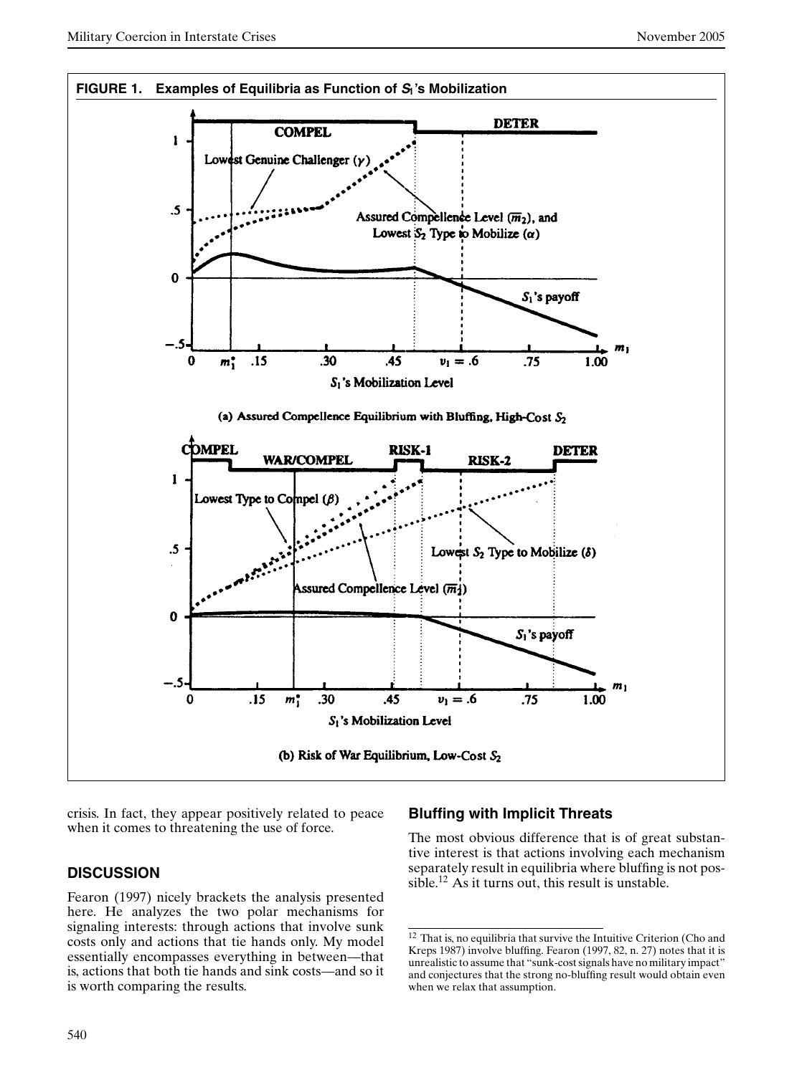

crisis. In fact, they appear positively related to peace when it comes to threatening the use of force.

## **DISCUSSION**

Fearon (1997) nicely brackets the analysis presented here. He analyzes the two polar mechanisms for signaling interests: through actions that involve sunk costs only and actions that tie hands only. My model essentially encompasses everything in between—–that is, actions that both tie hands and sink costs—–and so it is worth comparing the results.

# **Bluffing with Implicit Threats**

The most obvious difference that is of great substantive interest is that actions involving each mechanism separately result in equilibria where bluffing is not possible.<sup>12</sup> As it turns out, this result is unstable.

 $^{12}$  That is, no equilibria that survive the Intuitive Criterion (Cho and Kreps 1987) involve bluffing. Fearon (1997, 82, n. 27) notes that it is unrealistic to assume that "sunk-cost signals have no military impact" and conjectures that the strong no-bluffing result would obtain even when we relax that assumption.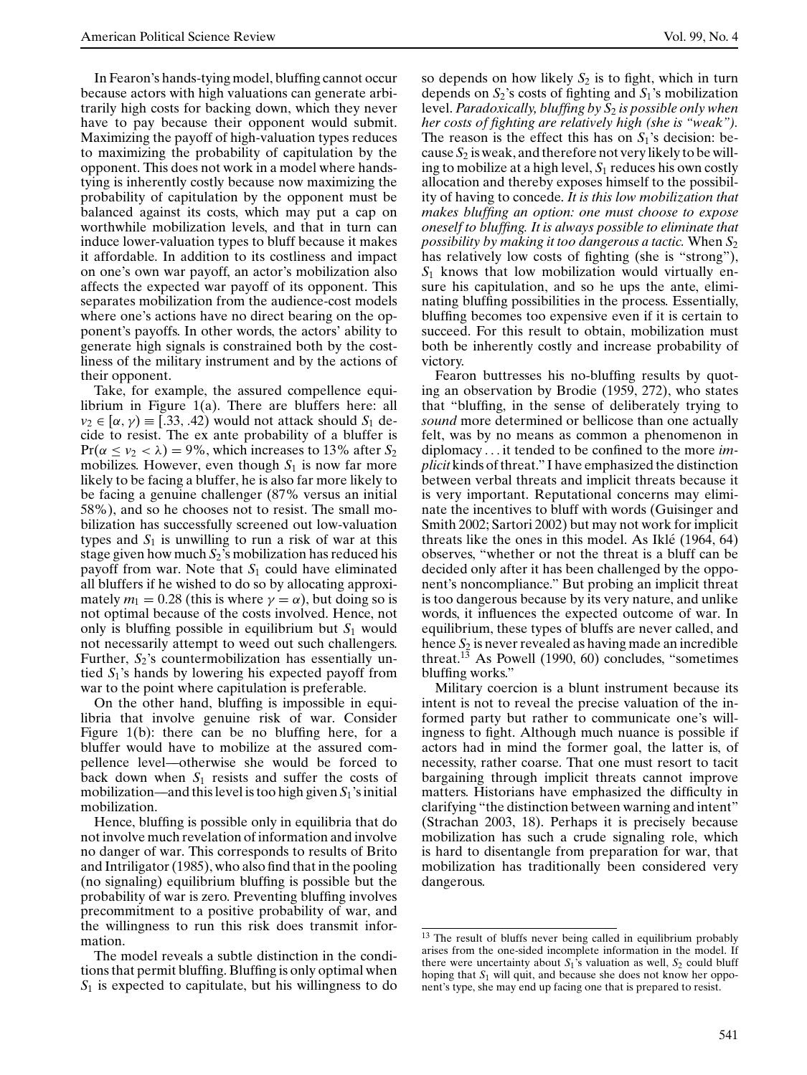In Fearon's hands-tying model, bluffing cannot occur because actors with high valuations can generate arbitrarily high costs for backing down, which they never have to pay because their opponent would submit. Maximizing the payoff of high-valuation types reduces to maximizing the probability of capitulation by the opponent. This does not work in a model where handstying is inherently costly because now maximizing the probability of capitulation by the opponent must be balanced against its costs, which may put a cap on worthwhile mobilization levels, and that in turn can induce lower-valuation types to bluff because it makes it affordable. In addition to its costliness and impact on one's own war payoff, an actor's mobilization also affects the expected war payoff of its opponent. This separates mobilization from the audience-cost models where one's actions have no direct bearing on the opponent's payoffs. In other words, the actors' ability to generate high signals is constrained both by the costliness of the military instrument and by the actions of their opponent.

Take, for example, the assured compellence equilibrium in Figure 1(a). There are bluffers here: all  $v_2 \in [\alpha, \gamma] \equiv [.33, .42)$  would not attack should  $S_1$  decide to resist. The ex ante probability of a bluffer is  $Pr(\alpha \leq v_2 < \lambda) = 9\%$ , which increases to 13% after  $S_2$ mobilizes. However, even though  $S_1$  is now far more likely to be facing a bluffer, he is also far more likely to be facing a genuine challenger (87% versus an initial 58%), and so he chooses not to resist. The small mobilization has successfully screened out low-valuation types and  $S_1$  is unwilling to run a risk of war at this stage given how much  $S_2$ 's mobilization has reduced his payoff from war. Note that  $S_1$  could have eliminated all bluffers if he wished to do so by allocating approximately  $m_1 = 0.28$  (this is where  $\gamma = \alpha$ ), but doing so is not optimal because of the costs involved. Hence, not only is bluffing possible in equilibrium but  $S_1$  would not necessarily attempt to weed out such challengers. Further,  $S_2$ 's countermobilization has essentially untied *S*1's hands by lowering his expected payoff from war to the point where capitulation is preferable.

On the other hand, bluffing is impossible in equilibria that involve genuine risk of war. Consider Figure 1(b): there can be no bluffing here, for a bluffer would have to mobilize at the assured compellence level—–otherwise she would be forced to back down when  $S_1$  resists and suffer the costs of mobilization—and this level is too high given  $S_1$ 's initial mobilization.

Hence, bluffing is possible only in equilibria that do not involve much revelation of information and involve no danger of war. This corresponds to results of Brito and Intriligator (1985), who also find that in the pooling (no signaling) equilibrium bluffing is possible but the probability of war is zero. Preventing bluffing involves precommitment to a positive probability of war, and the willingness to run this risk does transmit information.

The model reveals a subtle distinction in the conditions that permit bluffing. Bluffing is only optimal when *S*<sup>1</sup> is expected to capitulate, but his willingness to do

so depends on how likely  $S_2$  is to fight, which in turn depends on  $S_2$ 's costs of fighting and  $S_1$ 's mobilization level. *Paradoxically, bluffing by S*<sup>2</sup> *is possible only when her costs of fighting are relatively high (she is "weak").* The reason is the effect this has on  $S_1$ 's decision: because  $S_2$  is weak, and therefore not very likely to be willing to mobilize at a high level,  $S_1$  reduces his own costly allocation and thereby exposes himself to the possibility of having to concede. *It is this low mobilization that makes bluffing an option: one must choose to expose oneself to bluffing. It is always possible to eliminate that possibility by making it too dangerous a tactic.* When *S*<sup>2</sup> has relatively low costs of fighting (she is "strong"), *S*<sup>1</sup> knows that low mobilization would virtually ensure his capitulation, and so he ups the ante, eliminating bluffing possibilities in the process. Essentially, bluffing becomes too expensive even if it is certain to succeed. For this result to obtain, mobilization must both be inherently costly and increase probability of victory.

Fearon buttresses his no-bluffing results by quoting an observation by Brodie (1959, 272), who states that "bluffing, in the sense of deliberately trying to *sound* more determined or bellicose than one actually felt, was by no means as common a phenomenon in diplomacy *...* it tended to be confined to the more *implicit* kinds of threat." I have emphasized the distinction between verbal threats and implicit threats because it is very important. Reputational concerns may eliminate the incentives to bluff with words (Guisinger and Smith 2002; Sartori 2002) but may not work for implicit threats like the ones in this model. As Iklé  $(1964, 64)$ observes, "whether or not the threat is a bluff can be decided only after it has been challenged by the opponent's noncompliance." But probing an implicit threat is too dangerous because by its very nature, and unlike words, it influences the expected outcome of war. In equilibrium, these types of bluffs are never called, and hence  $S_2$  is never revealed as having made an incredible threat. $1\overline{3}$  As Powell (1990, 60) concludes, "sometimes bluffing works."

Military coercion is a blunt instrument because its intent is not to reveal the precise valuation of the informed party but rather to communicate one's willingness to fight. Although much nuance is possible if actors had in mind the former goal, the latter is, of necessity, rather coarse. That one must resort to tacit bargaining through implicit threats cannot improve matters. Historians have emphasized the difficulty in clarifying "the distinction between warning and intent" (Strachan 2003, 18). Perhaps it is precisely because mobilization has such a crude signaling role, which is hard to disentangle from preparation for war, that mobilization has traditionally been considered very dangerous.

<sup>&</sup>lt;sup>13</sup> The result of bluffs never being called in equilibrium probably arises from the one-sided incomplete information in the model. If there were uncertainty about  $S_1$ 's valuation as well,  $S_2$  could bluff hoping that *S*<sup>1</sup> will quit, and because she does not know her opponent's type, she may end up facing one that is prepared to resist.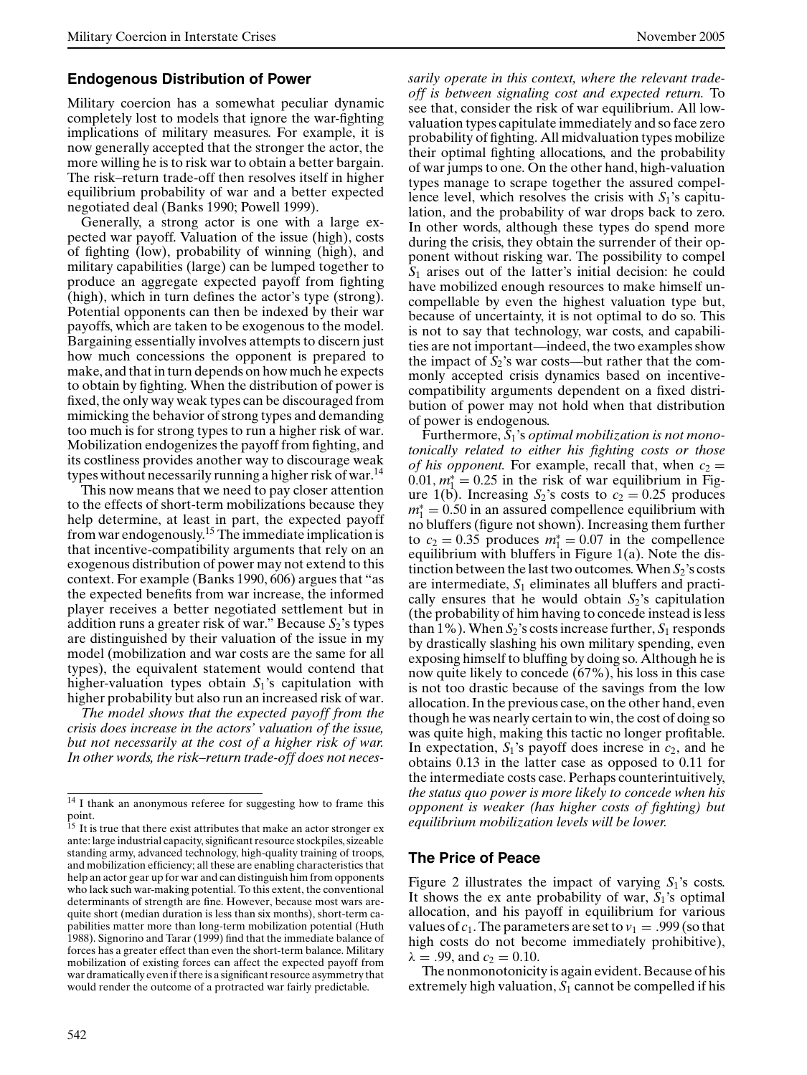# **Endogenous Distribution of Power**

Military coercion has a somewhat peculiar dynamic completely lost to models that ignore the war-fighting implications of military measures. For example, it is now generally accepted that the stronger the actor, the more willing he is to risk war to obtain a better bargain. The risk–return trade-off then resolves itself in higher equilibrium probability of war and a better expected negotiated deal (Banks 1990; Powell 1999).

Generally, a strong actor is one with a large expected war payoff. Valuation of the issue (high), costs of fighting (low), probability of winning (high), and military capabilities (large) can be lumped together to produce an aggregate expected payoff from fighting (high), which in turn defines the actor's type (strong). Potential opponents can then be indexed by their war payoffs, which are taken to be exogenous to the model. Bargaining essentially involves attempts to discern just how much concessions the opponent is prepared to make, and that in turn depends on how much he expects to obtain by fighting. When the distribution of power is fixed, the only way weak types can be discouraged from mimicking the behavior of strong types and demanding too much is for strong types to run a higher risk of war. Mobilization endogenizes the payoff from fighting, and its costliness provides another way to discourage weak types without necessarily running a higher risk of war.<sup>14</sup>

This now means that we need to pay closer attention to the effects of short-term mobilizations because they help determine, at least in part, the expected payoff from war endogenously.15 The immediate implication is that incentive-compatibility arguments that rely on an exogenous distribution of power may not extend to this context. For example (Banks 1990, 606) argues that "as the expected benefits from war increase, the informed player receives a better negotiated settlement but in addition runs a greater risk of war." Because  $S_2$ 's types are distinguished by their valuation of the issue in my model (mobilization and war costs are the same for all types), the equivalent statement would contend that higher-valuation types obtain *S*1's capitulation with higher probability but also run an increased risk of war.

*The model shows that the expected payoff from the crisis does increase in the actors' valuation of the issue, but not necessarily at the cost of a higher risk of war. In other words, the risk–return trade-off does not neces-* *sarily operate in this context, where the relevant tradeoff is between signaling cost and expected return.* To see that, consider the risk of war equilibrium. All lowvaluation types capitulate immediately and so face zero probability of fighting. All midvaluation types mobilize their optimal fighting allocations, and the probability of war jumps to one. On the other hand, high-valuation types manage to scrape together the assured compellence level, which resolves the crisis with  $S_1$ 's capitulation, and the probability of war drops back to zero. In other words, although these types do spend more during the crisis, they obtain the surrender of their opponent without risking war. The possibility to compel *S*<sup>1</sup> arises out of the latter's initial decision: he could have mobilized enough resources to make himself uncompellable by even the highest valuation type but, because of uncertainty, it is not optimal to do so. This is not to say that technology, war costs, and capabilities are not important—–indeed, the two examples show the impact of  $S_2$ 's war costs—but rather that the commonly accepted crisis dynamics based on incentivecompatibility arguments dependent on a fixed distribution of power may not hold when that distribution of power is endogenous.

Furthermore, *S*1's *optimal mobilization is not monotonically related to either his fighting costs or those of his opponent.* For example, recall that, when  $c_2 =$  $0.01, m_1^* = 0.25$  in the risk of war equilibrium in Figure 1(b). Increasing  $S_2$ 's costs to  $c_2 = 0.25$  produces *m*<sup>∗</sup><sub>1</sub> = 0.50 in an assured compellence equilibrium with no bluffers (figure not shown). Increasing them further to  $c_2 = 0.35$  produces  $m_1^* = 0.07$  in the compellence equilibrium with bluffers in Figure 1(a). Note the distinction between the last two outcomes. When  $S_2$ 's costs are intermediate, *S*<sup>1</sup> eliminates all bluffers and practically ensures that he would obtain  $S_2$ 's capitulation (the probability of him having to concede instead is less than  $1\%$ ). When  $S_2$ 's costs increase further,  $S_1$  responds by drastically slashing his own military spending, even exposing himself to bluffing by doing so. Although he is now quite likely to concede (67%), his loss in this case is not too drastic because of the savings from the low allocation. In the previous case, on the other hand, even though he was nearly certain to win, the cost of doing so was quite high, making this tactic no longer profitable. In expectation,  $S_1$ 's payoff does increse in  $c_2$ , and he obtains 0.13 in the latter case as opposed to 0.11 for the intermediate costs case. Perhaps counterintuitively, *the status quo power is more likely to concede when his opponent is weaker (has higher costs of fighting) but equilibrium mobilization levels will be lower.*

## **The Price of Peace**

Figure 2 illustrates the impact of varying *S*1's costs. It shows the ex ante probability of war, *S*1's optimal allocation, and his payoff in equilibrium for various values of  $c_1$ . The parameters are set to  $v_1 = .999$  (so that high costs do not become immediately prohibitive),  $\lambda = .99$ , and  $c_2 = 0.10$ .

The nonmonotonicity is again evident. Because of his extremely high valuation,  $S_1$  cannot be compelled if his

<sup>&</sup>lt;sup>14</sup> I thank an anonymous referee for suggesting how to frame this point.

 $15$  It is true that there exist attributes that make an actor stronger ex ante: large industrial capacity, significant resource stockpiles, sizeable standing army, advanced technology, high-quality training of troops, and mobilization efficiency; all these are enabling characteristics that help an actor gear up for war and can distinguish him from opponents who lack such war-making potential. To this extent, the conventional determinants of strength are fine. However, because most wars arequite short (median duration is less than six months), short-term capabilities matter more than long-term mobilization potential (Huth 1988). Signorino and Tarar (1999) find that the immediate balance of forces has a greater effect than even the short-term balance. Military mobilization of existing forces can affect the expected payoff from war dramatically even if there is a significant resource asymmetry that would render the outcome of a protracted war fairly predictable.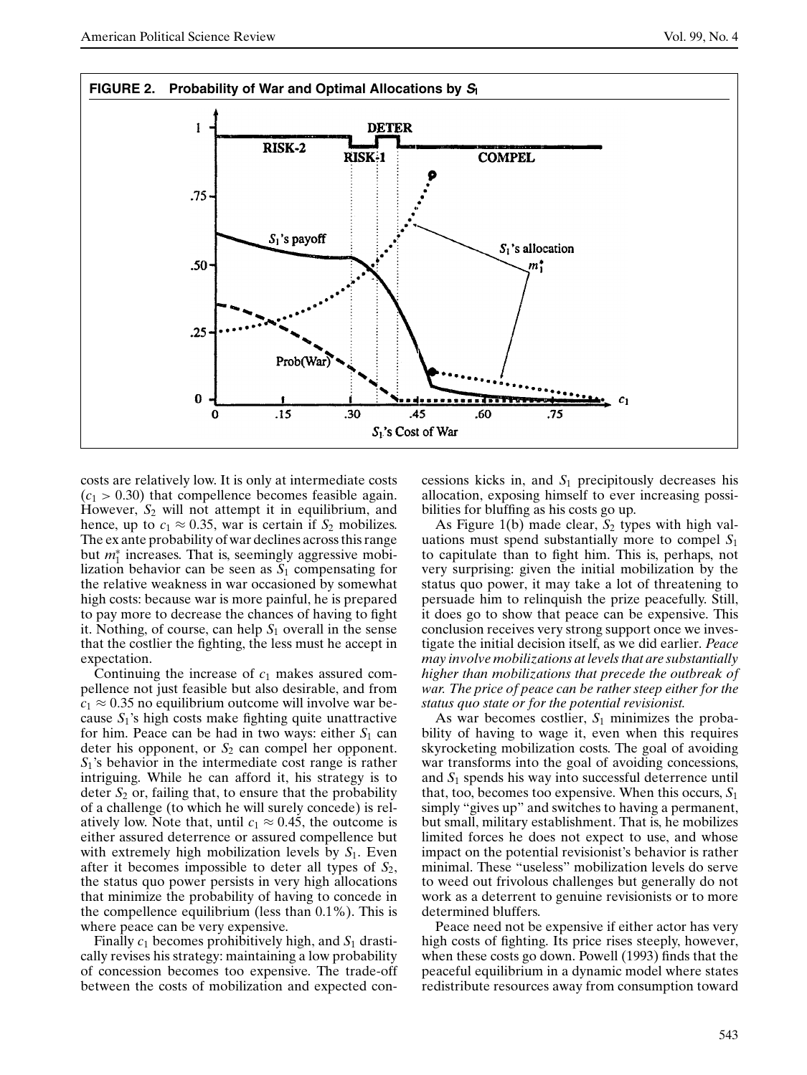

costs are relatively low. It is only at intermediate costs  $(c_1 > 0.30)$  that compellence becomes feasible again. However,  $S_2$  will not attempt it in equilibrium, and hence, up to  $c_1 \approx 0.35$ , war is certain if  $S_2$  mobilizes. The ex ante probability of war declines across this range but  $m_1^*$  increases. That is, seemingly aggressive mobilization behavior can be seen as  $S_1$  compensating for the relative weakness in war occasioned by somewhat high costs: because war is more painful, he is prepared to pay more to decrease the chances of having to fight it. Nothing, of course, can help S<sub>1</sub> overall in the sense that the costlier the fighting, the less must he accept in expectation.

Continuing the increase of  $c_1$  makes assured compellence not just feasible but also desirable, and from  $c_1 \approx 0.35$  no equilibrium outcome will involve war because *S*1's high costs make fighting quite unattractive for him. Peace can be had in two ways: either  $S_1$  can deter his opponent, or *S*<sup>2</sup> can compel her opponent. *S*1's behavior in the intermediate cost range is rather intriguing. While he can afford it, his strategy is to deter  $S_2$  or, failing that, to ensure that the probability of a challenge (to which he will surely concede) is relatively low. Note that, until  $c_1 \approx 0.45$ , the outcome is either assured deterrence or assured compellence but with extremely high mobilization levels by  $S_1$ . Even after it becomes impossible to deter all types of *S*2, the status quo power persists in very high allocations that minimize the probability of having to concede in the compellence equilibrium (less than 0.1%). This is where peace can be very expensive.

Finally  $c_1$  becomes prohibitively high, and  $S_1$  drastically revises his strategy: maintaining a low probability of concession becomes too expensive. The trade-off between the costs of mobilization and expected con-

cessions kicks in, and *S*<sup>1</sup> precipitously decreases his allocation, exposing himself to ever increasing possibilities for bluffing as his costs go up.

As Figure 1(b) made clear, *S*<sup>2</sup> types with high valuations must spend substantially more to compel *S*<sup>1</sup> to capitulate than to fight him. This is, perhaps, not very surprising: given the initial mobilization by the status quo power, it may take a lot of threatening to persuade him to relinquish the prize peacefully. Still, it does go to show that peace can be expensive. This conclusion receives very strong support once we investigate the initial decision itself, as we did earlier. *Peace may involve mobilizations at levels that are substantially higher than mobilizations that precede the outbreak of war. The price of peace can be rather steep either for the status quo state or for the potential revisionist.*

As war becomes costlier, *S*<sup>1</sup> minimizes the probability of having to wage it, even when this requires skyrocketing mobilization costs. The goal of avoiding war transforms into the goal of avoiding concessions, and *S*<sup>1</sup> spends his way into successful deterrence until that, too, becomes too expensive. When this occurs,  $S_1$ simply "gives up" and switches to having a permanent, but small, military establishment. That is, he mobilizes limited forces he does not expect to use, and whose impact on the potential revisionist's behavior is rather minimal. These "useless" mobilization levels do serve to weed out frivolous challenges but generally do not work as a deterrent to genuine revisionists or to more determined bluffers.

Peace need not be expensive if either actor has very high costs of fighting. Its price rises steeply, however, when these costs go down. Powell (1993) finds that the peaceful equilibrium in a dynamic model where states redistribute resources away from consumption toward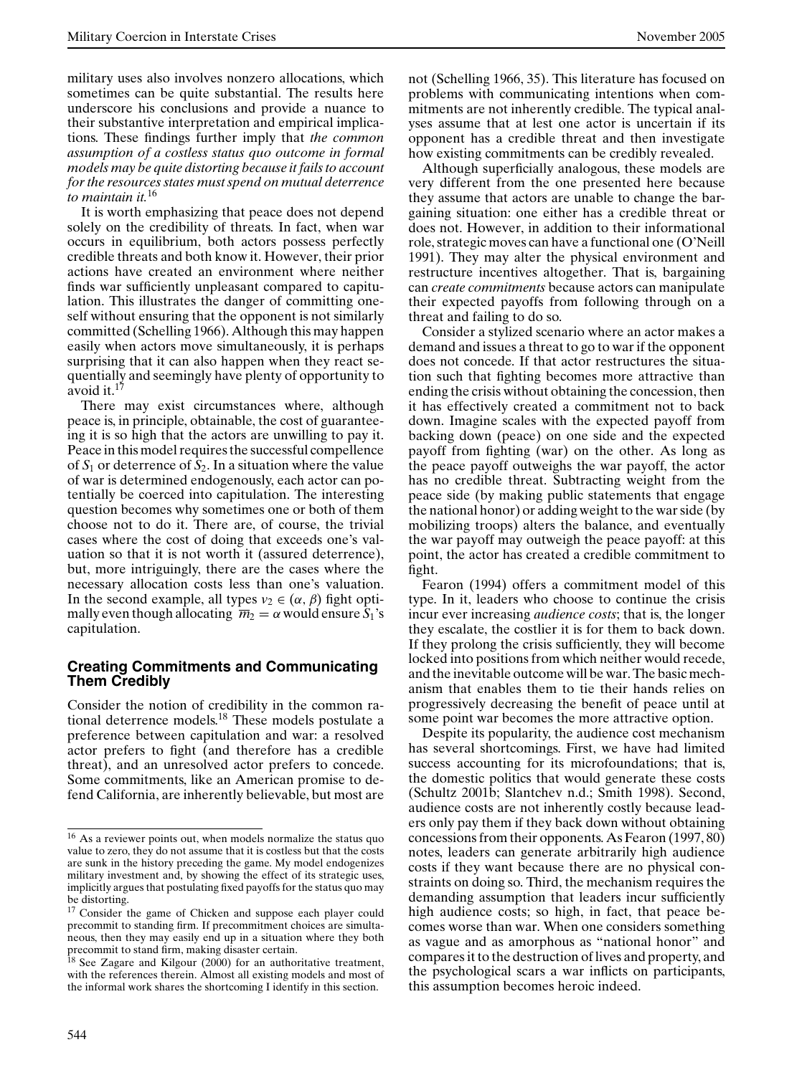military uses also involves nonzero allocations, which sometimes can be quite substantial. The results here underscore his conclusions and provide a nuance to their substantive interpretation and empirical implications. These findings further imply that *the common assumption of a costless status quo outcome in formal models may be quite distorting because it fails to account for the resources states must spend on mutual deterrence to maintain it.*<sup>16</sup>

It is worth emphasizing that peace does not depend solely on the credibility of threats. In fact, when war occurs in equilibrium, both actors possess perfectly credible threats and both know it. However, their prior actions have created an environment where neither finds war sufficiently unpleasant compared to capitulation. This illustrates the danger of committing oneself without ensuring that the opponent is not similarly committed (Schelling 1966). Although this may happen easily when actors move simultaneously, it is perhaps surprising that it can also happen when they react sequentially and seemingly have plenty of opportunity to avoid it. $17$ 

There may exist circumstances where, although peace is, in principle, obtainable, the cost of guaranteeing it is so high that the actors are unwilling to pay it. Peace in this model requires the successful compellence of  $S_1$  or deterrence of  $S_2$ . In a situation where the value of war is determined endogenously, each actor can potentially be coerced into capitulation. The interesting question becomes why sometimes one or both of them choose not to do it. There are, of course, the trivial cases where the cost of doing that exceeds one's valuation so that it is not worth it (assured deterrence), but, more intriguingly, there are the cases where the necessary allocation costs less than one's valuation. In the second example, all types  $v_2 \in (\alpha, \beta)$  fight optimally even though allocating  $\overline{m_2} = \alpha$  would ensure  $\overline{S_1}$ 's capitulation.

### **Creating Commitments and Communicating Them Credibly**

Consider the notion of credibility in the common rational deterrence models.<sup>18</sup> These models postulate a preference between capitulation and war: a resolved actor prefers to fight (and therefore has a credible threat), and an unresolved actor prefers to concede. Some commitments, like an American promise to defend California, are inherently believable, but most are

not (Schelling 1966, 35). This literature has focused on problems with communicating intentions when commitments are not inherently credible. The typical analyses assume that at lest one actor is uncertain if its opponent has a credible threat and then investigate how existing commitments can be credibly revealed.

Although superficially analogous, these models are very different from the one presented here because they assume that actors are unable to change the bargaining situation: one either has a credible threat or does not. However, in addition to their informational role, strategic moves can have a functional one (O'Neill 1991). They may alter the physical environment and restructure incentives altogether. That is, bargaining can *create commitments* because actors can manipulate their expected payoffs from following through on a threat and failing to do so.

Consider a stylized scenario where an actor makes a demand and issues a threat to go to war if the opponent does not concede. If that actor restructures the situation such that fighting becomes more attractive than ending the crisis without obtaining the concession, then it has effectively created a commitment not to back down. Imagine scales with the expected payoff from backing down (peace) on one side and the expected payoff from fighting (war) on the other. As long as the peace payoff outweighs the war payoff, the actor has no credible threat. Subtracting weight from the peace side (by making public statements that engage the national honor) or adding weight to the war side (by mobilizing troops) alters the balance, and eventually the war payoff may outweigh the peace payoff: at this point, the actor has created a credible commitment to fight.

Fearon (1994) offers a commitment model of this type. In it, leaders who choose to continue the crisis incur ever increasing *audience costs*; that is, the longer they escalate, the costlier it is for them to back down. If they prolong the crisis sufficiently, they will become locked into positions from which neither would recede, and the inevitable outcome will be war. The basic mechanism that enables them to tie their hands relies on progressively decreasing the benefit of peace until at some point war becomes the more attractive option.

Despite its popularity, the audience cost mechanism has several shortcomings. First, we have had limited success accounting for its microfoundations; that is, the domestic politics that would generate these costs (Schultz 2001b; Slantchev n.d.; Smith 1998). Second, audience costs are not inherently costly because leaders only pay them if they back down without obtaining concessions from their opponents. As Fearon (1997, 80) notes, leaders can generate arbitrarily high audience costs if they want because there are no physical constraints on doing so. Third, the mechanism requires the demanding assumption that leaders incur sufficiently high audience costs; so high, in fact, that peace becomes worse than war. When one considers something as vague and as amorphous as "national honor" and compares it to the destruction of lives and property, and the psychological scars a war inflicts on participants, this assumption becomes heroic indeed.

<sup>16</sup> As a reviewer points out, when models normalize the status quo value to zero, they do not assume that it is costless but that the costs are sunk in the history preceding the game. My model endogenizes military investment and, by showing the effect of its strategic uses, implicitly argues that postulating fixed payoffs for the status quo may be distorting.

<sup>&</sup>lt;sup>17</sup> Consider the game of Chicken and suppose each player could precommit to standing firm. If precommitment choices are simultaneous, then they may easily end up in a situation where they both precommit to stand firm, making disaster certain.

<sup>&</sup>lt;sup>18</sup> See Zagare and Kilgour (2000) for an authoritative treatment, with the references therein. Almost all existing models and most of the informal work shares the shortcoming I identify in this section.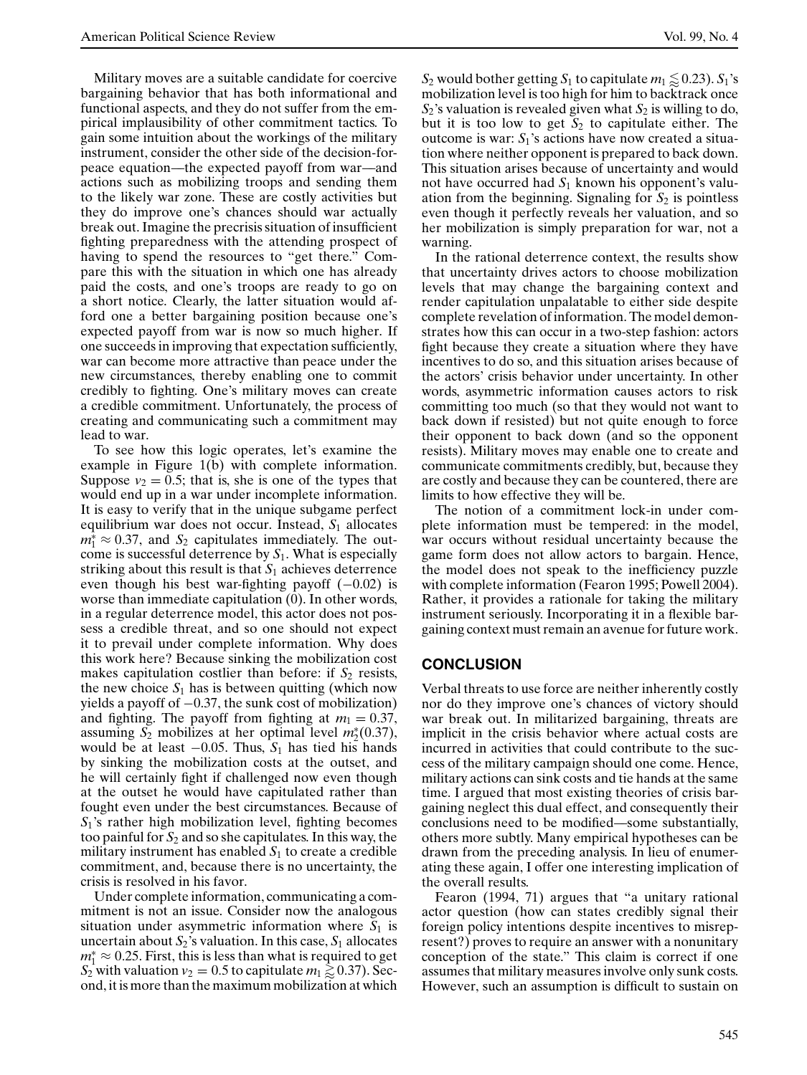Military moves are a suitable candidate for coercive bargaining behavior that has both informational and functional aspects, and they do not suffer from the empirical implausibility of other commitment tactics. To gain some intuition about the workings of the military instrument, consider the other side of the decision-forpeace equation—–the expected payoff from war—–and actions such as mobilizing troops and sending them to the likely war zone. These are costly activities but they do improve one's chances should war actually break out. Imagine the precrisis situation of insufficient fighting preparedness with the attending prospect of having to spend the resources to "get there." Compare this with the situation in which one has already paid the costs, and one's troops are ready to go on a short notice. Clearly, the latter situation would afford one a better bargaining position because one's expected payoff from war is now so much higher. If one succeeds in improving that expectation sufficiently, war can become more attractive than peace under the new circumstances, thereby enabling one to commit credibly to fighting. One's military moves can create a credible commitment. Unfortunately, the process of creating and communicating such a commitment may lead to war.

To see how this logic operates, let's examine the example in Figure 1(b) with complete information. Suppose  $v_2 = 0.5$ ; that is, she is one of the types that would end up in a war under incomplete information. It is easy to verify that in the unique subgame perfect equilibrium war does not occur. Instead, S<sub>1</sub> allocates  $m_1^* \approx 0.37$ , and  $S_2$  capitulates immediately. The outcome is successful deterrence by *S*1. What is especially striking about this result is that *S*<sup>1</sup> achieves deterrence even though his best war-fighting payoff  $(-0.02)$  is worse than immediate capitulation (0). In other words, in a regular deterrence model, this actor does not possess a credible threat, and so one should not expect it to prevail under complete information. Why does this work here? Because sinking the mobilization cost makes capitulation costlier than before: if  $S_2$  resists, the new choice  $S_1$  has is between quitting (which now yields a payoff of −0.37, the sunk cost of mobilization) and fighting. The payoff from fighting at  $m_1 = 0.37$ , assuming  $S_2$  mobilizes at her optimal level  $m_2^*(0.37)$ , would be at least  $-0.05$ . Thus,  $S_1$  has tied his hands by sinking the mobilization costs at the outset, and he will certainly fight if challenged now even though at the outset he would have capitulated rather than fought even under the best circumstances. Because of *S*1's rather high mobilization level, fighting becomes too painful for  $S_2$  and so she capitulates. In this way, the military instrument has enabled  $S_1$  to create a credible commitment, and, because there is no uncertainty, the crisis is resolved in his favor.

Under complete information, communicating a commitment is not an issue. Consider now the analogous situation under asymmetric information where  $S_1$  is uncertain about  $S_2$ 's valuation. In this case,  $S_1$  allocates  $m_1^* \approx 0.25$ . First, this is less than what is required to get *S*<sub>2</sub> with valuation  $v_2 = 0.5$  to capitulate  $m_1 \ge 0.37$ . Second, it is more than the maximum mobilization at which

 $S_2$  would bother getting  $S_1$  to capitulate  $m_1 \lessapprox 0.23$ ).  $S_1$ 's mobilization level is too high for him to backtrack once  $S_2$ 's valuation is revealed given what  $S_2$  is willing to do, but it is too low to get  $S_2$  to capitulate either. The outcome is war: *S*1's actions have now created a situation where neither opponent is prepared to back down. This situation arises because of uncertainty and would not have occurred had *S*<sup>1</sup> known his opponent's valuation from the beginning. Signaling for  $S_2$  is pointless even though it perfectly reveals her valuation, and so her mobilization is simply preparation for war, not a warning.

In the rational deterrence context, the results show that uncertainty drives actors to choose mobilization levels that may change the bargaining context and render capitulation unpalatable to either side despite complete revelation of information. The model demonstrates how this can occur in a two-step fashion: actors fight because they create a situation where they have incentives to do so, and this situation arises because of the actors' crisis behavior under uncertainty. In other words, asymmetric information causes actors to risk committing too much (so that they would not want to back down if resisted) but not quite enough to force their opponent to back down (and so the opponent resists). Military moves may enable one to create and communicate commitments credibly, but, because they are costly and because they can be countered, there are limits to how effective they will be.

The notion of a commitment lock-in under complete information must be tempered: in the model, war occurs without residual uncertainty because the game form does not allow actors to bargain. Hence, the model does not speak to the inefficiency puzzle with complete information (Fearon 1995; Powell 2004). Rather, it provides a rationale for taking the military instrument seriously. Incorporating it in a flexible bargaining context must remain an avenue for future work.

#### **CONCLUSION**

Verbal threats to use force are neither inherently costly nor do they improve one's chances of victory should war break out. In militarized bargaining, threats are implicit in the crisis behavior where actual costs are incurred in activities that could contribute to the success of the military campaign should one come. Hence, military actions can sink costs and tie hands at the same time. I argued that most existing theories of crisis bargaining neglect this dual effect, and consequently their conclusions need to be modified—–some substantially, others more subtly. Many empirical hypotheses can be drawn from the preceding analysis. In lieu of enumerating these again, I offer one interesting implication of the overall results.

Fearon (1994, 71) argues that "a unitary rational actor question (how can states credibly signal their foreign policy intentions despite incentives to misrepresent?) proves to require an answer with a nonunitary conception of the state." This claim is correct if one assumes that military measures involve only sunk costs. However, such an assumption is difficult to sustain on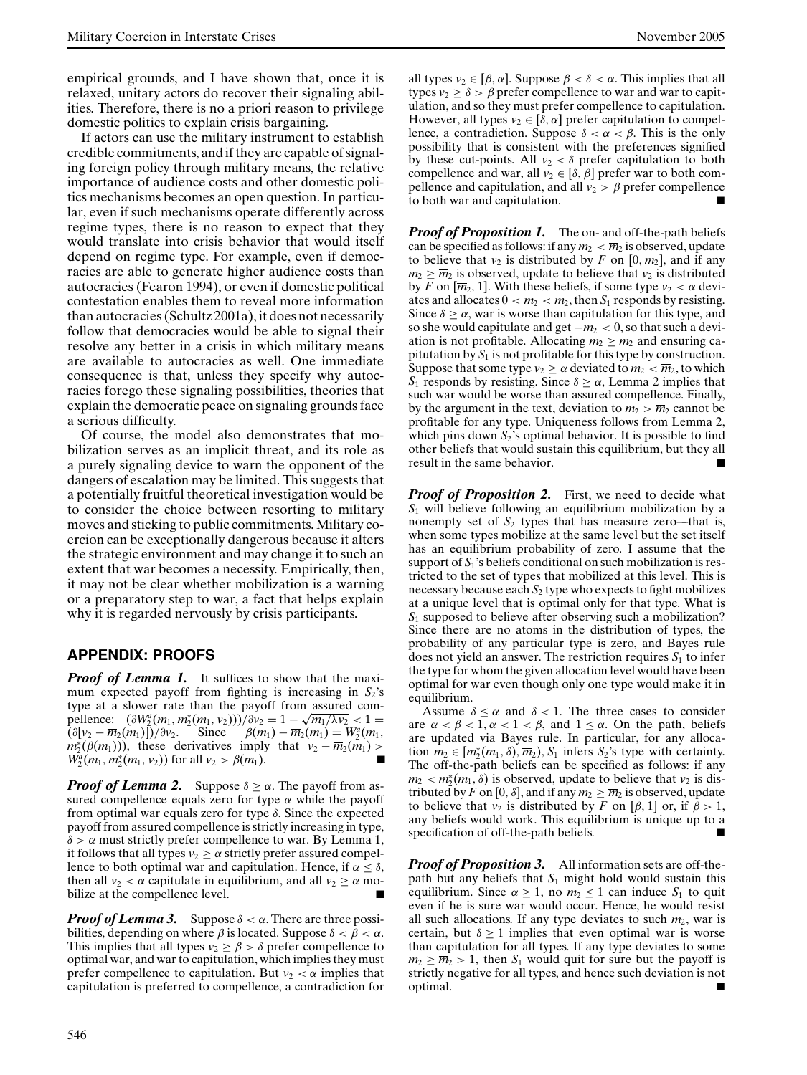empirical grounds, and I have shown that, once it is relaxed, unitary actors do recover their signaling abilities. Therefore, there is no a priori reason to privilege domestic politics to explain crisis bargaining.

If actors can use the military instrument to establish credible commitments, and if they are capable of signaling foreign policy through military means, the relative importance of audience costs and other domestic politics mechanisms becomes an open question. In particular, even if such mechanisms operate differently across regime types, there is no reason to expect that they would translate into crisis behavior that would itself depend on regime type. For example, even if democracies are able to generate higher audience costs than autocracies (Fearon 1994), or even if domestic political contestation enables them to reveal more information than autocracies (Schultz 2001a), it does not necessarily follow that democracies would be able to signal their resolve any better in a crisis in which military means are available to autocracies as well. One immediate consequence is that, unless they specify why autocracies forego these signaling possibilities, theories that explain the democratic peace on signaling grounds face a serious difficulty.

Of course, the model also demonstrates that mobilization serves as an implicit threat, and its role as a purely signaling device to warn the opponent of the dangers of escalation may be limited. This suggests that a potentially fruitful theoretical investigation would be to consider the choice between resorting to military moves and sticking to public commitments. Military coercion can be exceptionally dangerous because it alters the strategic environment and may change it to such an extent that war becomes a necessity. Empirically, then, it may not be clear whether mobilization is a warning or a preparatory step to war, a fact that helps explain why it is regarded nervously by crisis participants.

## **APPENDIX: PROOFS**

*Proof of Lemma 1.* It suffices to show that the maximum expected payoff from fighting is increasing in  $S_2$ 's type at a slower rate than the payoff from assured com $p$ ellence:  $(\partial W_2^n(m_1, m_2^n(m_1, v_2))) / \partial v_2 = 1 - \sqrt{m_1/\lambda v_2} < 1 =$  $(\partial [v_2 - \overline{m}_2(m_1)])/\partial v_2$ . Since  $\beta(m_1) - \overline{m}_2(m_1) = W_2^a(m_1,$  $m^*_{\Sigma}(\beta(m_1))$ , these derivatives imply that  $v_2 - \overline{m}_2(m_1) >$  $W_2^{\bar{u}}(m_1, m_2^*(m_1, v_2))$  for all *v*<sub>2</sub> *> β*(*m*<sub>1</sub>). ■

*Proof of Lemma 2.* Suppose  $\delta \geq \alpha$ . The payoff from assured compellence equals zero for type *α* while the payoff from optimal war equals zero for type *δ*. Since the expected payoff from assured compellence is strictly increasing in type,  $\delta > \alpha$  must strictly prefer compellence to war. By Lemma 1, it follows that all types  $v_2 \geq \alpha$  strictly prefer assured compellence to both optimal war and capitulation. Hence, if  $\alpha \leq \delta$ , then all  $v_2 < \alpha$  capitulate in equilibrium, and all  $v_2 \ge \alpha$  mobilize at the compellence level.

*Proof of Lemma 3.* Suppose  $\delta < \alpha$ . There are three possibilities, depending on where  $\beta$  is located. Suppose  $\delta < \beta < \alpha$ . This implies that all types  $v_2 \ge \beta > \delta$  prefer compellence to optimal war, and war to capitulation, which implies they must prefer compellence to capitulation. But  $v_2 < \alpha$  implies that capitulation is preferred to compellence, a contradiction for

all types  $v_2 \in [\beta, \alpha]$ . Suppose  $\beta < \delta < \alpha$ . This implies that all types  $v_2 \ge \delta > \beta$  prefer compellence to war and war to capitulation, and so they must prefer compellence to capitulation. However, all types  $v_2 \in [\delta, \alpha]$  prefer capitulation to compellence, a contradiction. Suppose  $\delta < \alpha < \beta$ . This is the only possibility that is consistent with the preferences signified by these cut-points. All  $v_2 < \delta$  prefer capitulation to both compellence and war, all  $v_2 \in [\delta, \beta]$  prefer war to both compellence and capitulation, and all  $v_2 > \beta$  prefer compellence to both war and capitulation.

*Proof of Proposition 1.* The on- and off-the-path beliefs can be specified as follows: if any  $m_2 < \overline{m}_2$  is observed, update to believe that  $v_2$  is distributed by *F* on [0,  $\overline{m}_2$ ], and if any  $m_2 \geq \overline{m}_2$  is observed, update to believe that  $v_2$  is distributed by *F* on  $[\overline{m}_2, 1]$ . With these beliefs, if some type  $v_2 < \alpha$  deviates and allocates  $0 < m_2 < \overline{m}_2$ , then  $S_1$  responds by resisting. Since  $\delta \ge \alpha$ , war is worse than capitulation for this type, and so she would capitulate and get  $-m<sub>2</sub> < 0$ , so that such a deviation is not profitable. Allocating  $m_2 \geq \overline{m}_2$  and ensuring capitutation by  $S_1$  is not profitable for this type by construction. Suppose that some type  $v_2 \ge \alpha$  deviated to  $m_2 < \overline{m}_2$ , to which *S*<sub>1</sub> responds by resisting. Since  $\delta \geq \alpha$ , Lemma 2 implies that such war would be worse than assured compellence. Finally, by the argument in the text, deviation to  $m_2 > \overline{m}_2$  cannot be profitable for any type. Uniqueness follows from Lemma 2, which pins down  $S_2$ 's optimal behavior. It is possible to find other beliefs that would sustain this equilibrium, but they all result in the same behavior.

*Proof of Proposition 2.* First, we need to decide what *S*<sup>1</sup> will believe following an equilibrium mobilization by a nonempty set of  $S_2$  types that has measure zero—that is, when some types mobilize at the same level but the set itself has an equilibrium probability of zero. I assume that the support of  $S_1$ 's beliefs conditional on such mobilization is restricted to the set of types that mobilized at this level. This is necessary because each  $S_2$  type who expects to fight mobilizes at a unique level that is optimal only for that type. What is *S*<sup>1</sup> supposed to believe after observing such a mobilization? Since there are no atoms in the distribution of types, the probability of any particular type is zero, and Bayes rule does not yield an answer. The restriction requires  $S_1$  to infer the type for whom the given allocation level would have been optimal for war even though only one type would make it in equilibrium.

Assume  $\delta \leq \alpha$  and  $\delta < 1$ . The three cases to consider are  $\alpha < \beta < 1, \alpha < 1 < \beta$ , and  $1 \leq \alpha$ . On the path, beliefs are updated via Bayes rule. In particular, for any allocation  $m_2 \in [m_2^*(m_1, \delta), \overline{m}_2)$ ,  $S_1$  infers  $S_2$ 's type with certainty. The off-the-path beliefs can be specified as follows: if any  $m_2 < m_2^*(m_1, \delta)$  is observed, update to believe that  $v_2$  is distributed by *F* on [0,  $\delta$ ], and if any  $m_2 \ge \overline{m_2}$  is observed, update to believe that  $v_2$  is distributed by *F* on [ $\beta$ , 1] or, if  $\beta > 1$ , any beliefs would work. This equilibrium is unique up to a specification of off-the-path beliefs.

*Proof of Proposition 3.* All information sets are off-thepath but any beliefs that  $S_1$  might hold would sustain this equilibrium. Since  $\alpha \geq 1$ , no  $m_2 \leq 1$  can induce  $S_1$  to quit even if he is sure war would occur. Hence, he would resist all such allocations. If any type deviates to such  $m_2$ , war is certain, but  $\delta \geq 1$  implies that even optimal war is worse than capitulation for all types. If any type deviates to some  $m_2 \geq \overline{m}_2 > 1$ , then  $S_1$  would quit for sure but the payoff is strictly negative for all types, and hence such deviation is not optimal.